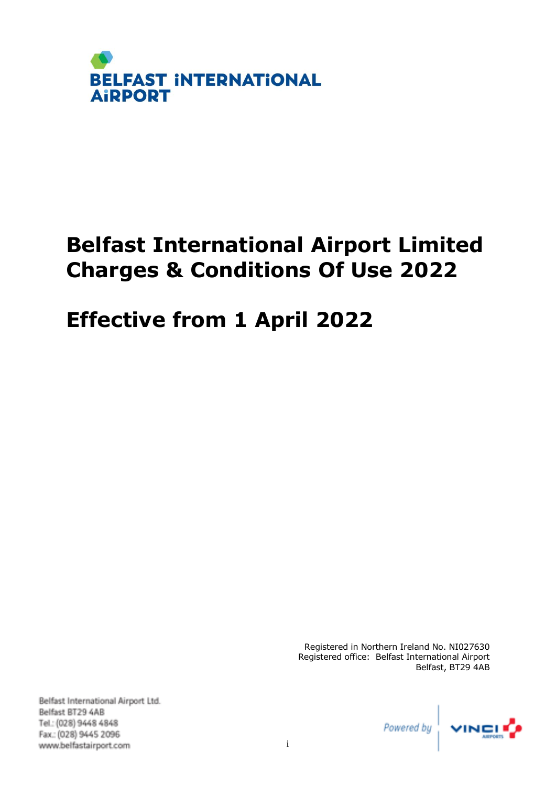

# **Effective from 1 April 2022**

Registered in Northern Ireland No. NI027630 Registered office: Belfast International Airport Belfast, BT29 4AB

Belfast International Airport Ltd. Belfast BT29 4AB Tel.: (028) 9448 4848 Fax: (028) 9445 2096 www.belfastairport.com

Powered by

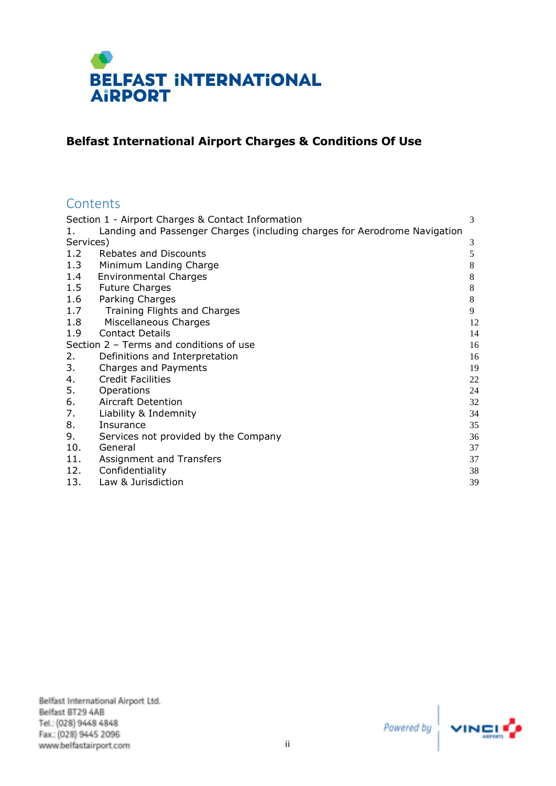

# **Belfast International Airport Charges & Conditions Of Use**

# **Contents**

| Section 1 - Airport Charges & Contact Information                         | 3                                                                                                                                                                                                  |
|---------------------------------------------------------------------------|----------------------------------------------------------------------------------------------------------------------------------------------------------------------------------------------------|
| Landing and Passenger Charges (including charges for Aerodrome Navigation |                                                                                                                                                                                                    |
| Services)                                                                 | 3                                                                                                                                                                                                  |
| <b>Rebates and Discounts</b>                                              | 5                                                                                                                                                                                                  |
| Minimum Landing Charge                                                    | 8                                                                                                                                                                                                  |
| <b>Environmental Charges</b>                                              | 8                                                                                                                                                                                                  |
| <b>Future Charges</b>                                                     | 8                                                                                                                                                                                                  |
| Parking Charges                                                           | 8                                                                                                                                                                                                  |
| Training Flights and Charges                                              | 9                                                                                                                                                                                                  |
| Miscellaneous Charges                                                     | 12                                                                                                                                                                                                 |
| <b>Contact Details</b>                                                    | 14                                                                                                                                                                                                 |
| Section $2$ – Terms and conditions of use                                 | 16                                                                                                                                                                                                 |
|                                                                           | 16                                                                                                                                                                                                 |
|                                                                           | 19                                                                                                                                                                                                 |
|                                                                           | 22                                                                                                                                                                                                 |
|                                                                           | 24                                                                                                                                                                                                 |
| Aircraft Detention                                                        | 32                                                                                                                                                                                                 |
| Liability & Indemnity                                                     | 34                                                                                                                                                                                                 |
| Insurance                                                                 | 35                                                                                                                                                                                                 |
|                                                                           | 36                                                                                                                                                                                                 |
|                                                                           | 37                                                                                                                                                                                                 |
|                                                                           | 37                                                                                                                                                                                                 |
|                                                                           | 38                                                                                                                                                                                                 |
| Law & Jurisdiction                                                        | 39                                                                                                                                                                                                 |
|                                                                           | Definitions and Interpretation<br>Charges and Payments<br><b>Credit Facilities</b><br>Operations<br>Services not provided by the Company<br>General<br>Assignment and Transfers<br>Confidentiality |

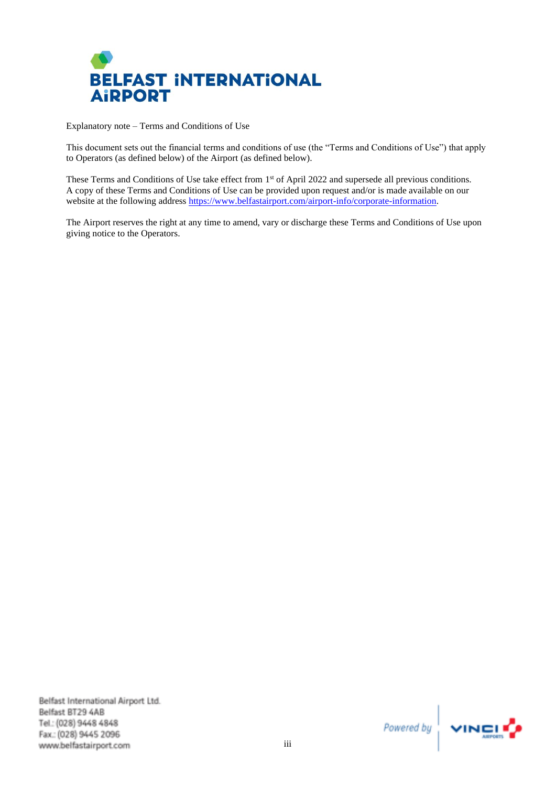

Explanatory note – Terms and Conditions of Use

This document sets out the financial terms and conditions of use (the "Terms and Conditions of Use") that apply to Operators (as defined below) of the Airport (as defined below).

These Terms and Conditions of Use take effect from 1<sup>st</sup> of April 2022 and supersede all previous conditions. A copy of these Terms and Conditions of Use can be provided upon request and/or is made available on our website at the following address [https://www.belfastairport.com/airport-info/corporate-information.](https://www.belfastairport.com/airport-info/corporate-information)

The Airport reserves the right at any time to amend, vary or discharge these Terms and Conditions of Use upon giving notice to the Operators.

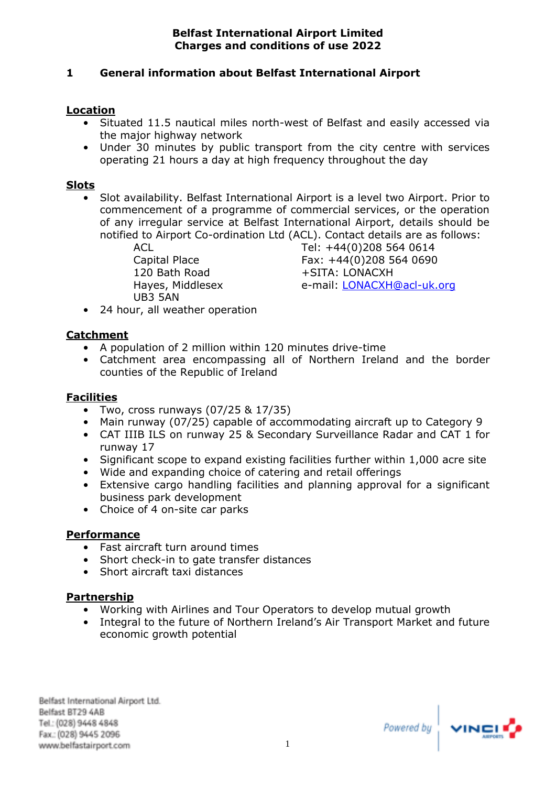# **1 General information about Belfast International Airport**

## **Location**

- Situated 11.5 nautical miles north-west of Belfast and easily accessed via the major highway network
- Under 30 minutes by public transport from the city centre with services operating 21 hours a day at high frequency throughout the day

#### **Slots**

• Slot availability. Belfast International Airport is a level two Airport. Prior to commencement of a programme of commercial services, or the operation of any irregular service at Belfast International Airport, details should be notified to Airport Co-ordination Ltd (ACL). Contact details are as follows:

> 120 Bath Road +SITA: LONACXH UB3 5AN

ACL Tel: +44(0)208 564 0614 Capital Place Fax: +44(0)208 564 0690 Hayes, Middlesex e-mail: [LONACXH@acl-uk.org](mailto:LONACXH@acl-uk.org)

• 24 hour, all weather operation

#### **Catchment**

- A population of 2 million within 120 minutes drive-time
- Catchment area encompassing all of Northern Ireland and the border counties of the Republic of Ireland

## **Facilities**

- Two, cross runways  $(07/25 & 17/35)$
- Main runway (07/25) capable of accommodating aircraft up to Category 9
- CAT IIIB ILS on runway 25 & Secondary Surveillance Radar and CAT 1 for runway 17
- Significant scope to expand existing facilities further within 1,000 acre site
- Wide and expanding choice of catering and retail offerings
- Extensive cargo handling facilities and planning approval for a significant business park development
- Choice of 4 on-site car parks

#### **Performance**

- Fast aircraft turn around times
- Short check-in to gate transfer distances
- Short aircraft taxi distances

## **Partnership**

- Working with Airlines and Tour Operators to develop mutual growth
- Integral to the future of Northern Ireland's Air Transport Market and future economic growth potential

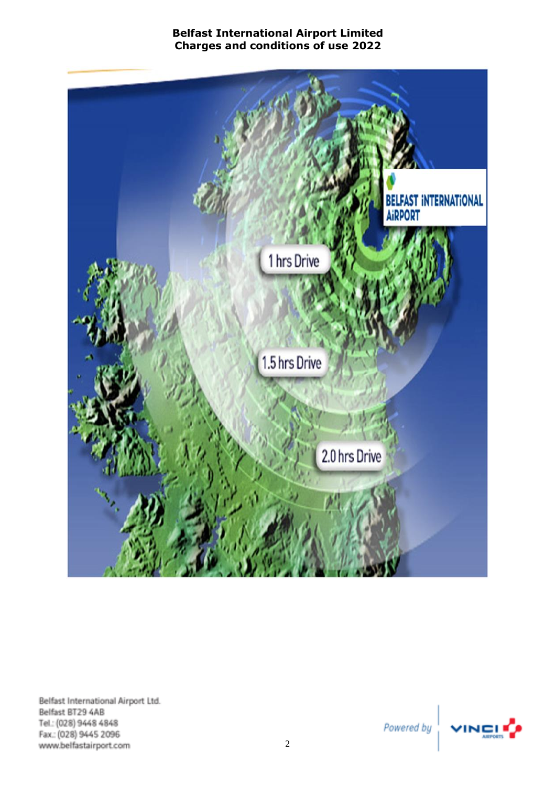

Belfast International Airport Ltd. Belfast BT29 4AB Tel.: (028) 9448 4848 Fax: (028) 9445 2096 www.belfastairport.com

Powered by

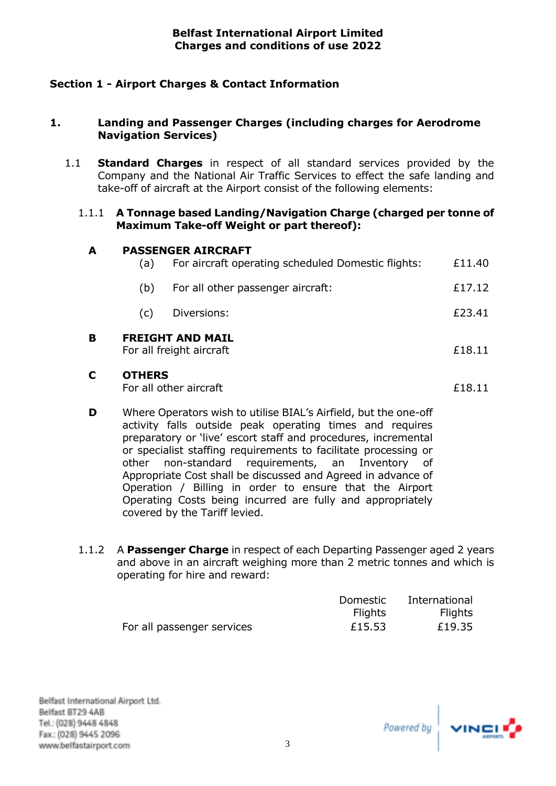# <span id="page-5-0"></span>**Section 1 - Airport Charges & Contact Information**

## <span id="page-5-1"></span>**1. Landing and Passenger Charges (including charges for Aerodrome Navigation Services)**

1.1 **Standard Charges** in respect of all standard services provided by the Company and the National Air Traffic Services to effect the safe landing and take-off of aircraft at the Airport consist of the following elements:

#### 1.1.1 **A Tonnage based Landing/Navigation Charge (charged per tonne of Maximum Take-off Weight or part thereof):**

#### **A PASSENGER AIRCRAFT**  $\overline{a}$  For aircraft operating scheduled Demetic flights:  $\overline{a}$  11.40

| в |     | <b>FREIGHT AND MAIL</b><br>For all freight aircraft | £18.11 |
|---|-----|-----------------------------------------------------|--------|
|   | (C) | Diversions:                                         | £23.41 |
|   | (b) | For all other passenger aircraft:                   | £17.12 |
|   | (a) | For aircraft operating scheduled Domestic flights:  | £11.40 |

## **C OTHERS**

For all other aircraft  $\epsilon$ 18.11

- **D** Where Operators wish to utilise BIAL's Airfield, but the one-off activity falls outside peak operating times and requires preparatory or 'live' escort staff and procedures, incremental or specialist staffing requirements to facilitate processing or other non-standard requirements, an Inventory of Appropriate Cost shall be discussed and Agreed in advance of Operation / Billing in order to ensure that the Airport Operating Costs being incurred are fully and appropriately covered by the Tariff levied.
- 1.1.2 A **Passenger Charge** in respect of each Departing Passenger aged 2 years and above in an aircraft weighing more than 2 metric tonnes and which is operating for hire and reward:

|                            | Domestic       | International  |
|----------------------------|----------------|----------------|
|                            | <b>Flights</b> | <b>Flights</b> |
| For all passenger services | £15.53         | £19.35         |

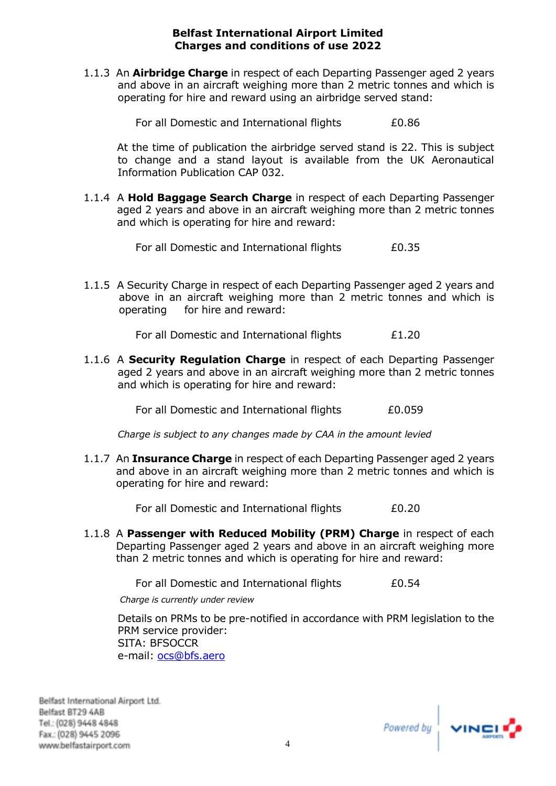1.1.3 An **Airbridge Charge** in respect of each Departing Passenger aged 2 years and above in an aircraft weighing more than 2 metric tonnes and which is operating for hire and reward using an airbridge served stand:

For all Domestic and International flights E0.86

At the time of publication the airbridge served stand is 22. This is subject to change and a stand layout is available from the UK Aeronautical Information Publication CAP 032.

1.1.4 A **Hold Baggage Search Charge** in respect of each Departing Passenger aged 2 years and above in an aircraft weighing more than 2 metric tonnes and which is operating for hire and reward:

For all Domestic and International flights E0.35

1.1.5 A Security Charge in respect of each Departing Passenger aged 2 years and above in an aircraft weighing more than 2 metric tonnes and which is operating for hire and reward:

For all Domestic and International flights E1.20

1.1.6 A **Security Regulation Charge** in respect of each Departing Passenger aged 2 years and above in an aircraft weighing more than 2 metric tonnes and which is operating for hire and reward:

For all Domestic and International flights E0.059

*Charge is subject to any changes made by CAA in the amount levied*

1.1.7 An **Insurance Charge** in respect of each Departing Passenger aged 2 years and above in an aircraft weighing more than 2 metric tonnes and which is operating for hire and reward:

For all Domestic and International flights E0.20

1.1.8 A **Passenger with Reduced Mobility (PRM) Charge** in respect of each Departing Passenger aged 2 years and above in an aircraft weighing more than 2 metric tonnes and which is operating for hire and reward:

For all Domestic and International flights E0.54

*Charge is currently under review*

Details on PRMs to be pre-notified in accordance with PRM legislation to the PRM service provider: SITA: BFSOCCR e-mail: [ocs@bfs.aero](mailto:ocs@bfs.aero)

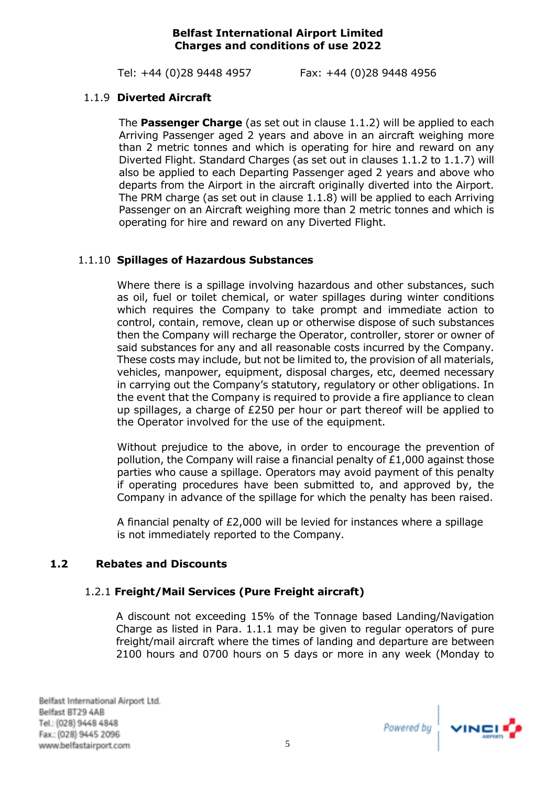Tel: +44 (0)28 9448 4957 Fax: +44 (0)28 9448 4956

# 1.1.9 **Diverted Aircraft**

The **Passenger Charge** (as set out in clause 1.1.2) will be applied to each Arriving Passenger aged 2 years and above in an aircraft weighing more than 2 metric tonnes and which is operating for hire and reward on any Diverted Flight. Standard Charges (as set out in clauses 1.1.2 to 1.1.7) will also be applied to each Departing Passenger aged 2 years and above who departs from the Airport in the aircraft originally diverted into the Airport. The PRM charge (as set out in clause 1.1.8) will be applied to each Arriving Passenger on an Aircraft weighing more than 2 metric tonnes and which is operating for hire and reward on any Diverted Flight.

# 1.1.10 **Spillages of Hazardous Substances**

Where there is a spillage involving hazardous and other substances, such as oil, fuel or toilet chemical, or water spillages during winter conditions which requires the Company to take prompt and immediate action to control, contain, remove, clean up or otherwise dispose of such substances then the Company will recharge the Operator, controller, storer or owner of said substances for any and all reasonable costs incurred by the Company. These costs may include, but not be limited to, the provision of all materials, vehicles, manpower, equipment, disposal charges, etc, deemed necessary in carrying out the Company's statutory, regulatory or other obligations. In the event that the Company is required to provide a fire appliance to clean up spillages, a charge of £250 per hour or part thereof will be applied to the Operator involved for the use of the equipment.

Without prejudice to the above, in order to encourage the prevention of pollution, the Company will raise a financial penalty of £1,000 against those parties who cause a spillage. Operators may avoid payment of this penalty if operating procedures have been submitted to, and approved by, the Company in advance of the spillage for which the penalty has been raised.

A financial penalty of £2,000 will be levied for instances where a spillage is not immediately reported to the Company.

# <span id="page-7-0"></span>**1.2 Rebates and Discounts**

## 1.2.1 **Freight/Mail Services (Pure Freight aircraft)**

A discount not exceeding 15% of the Tonnage based Landing/Navigation Charge as listed in Para. 1.1.1 may be given to regular operators of pure freight/mail aircraft where the times of landing and departure are between 2100 hours and 0700 hours on 5 days or more in any week (Monday to

Powered by  $\left| \begin{array}{c} \sqrt{1 + \frac{1}{2}} \\ \sqrt{1 + \frac{1}{2}} \\ \frac{1}{2} \end{array} \right|$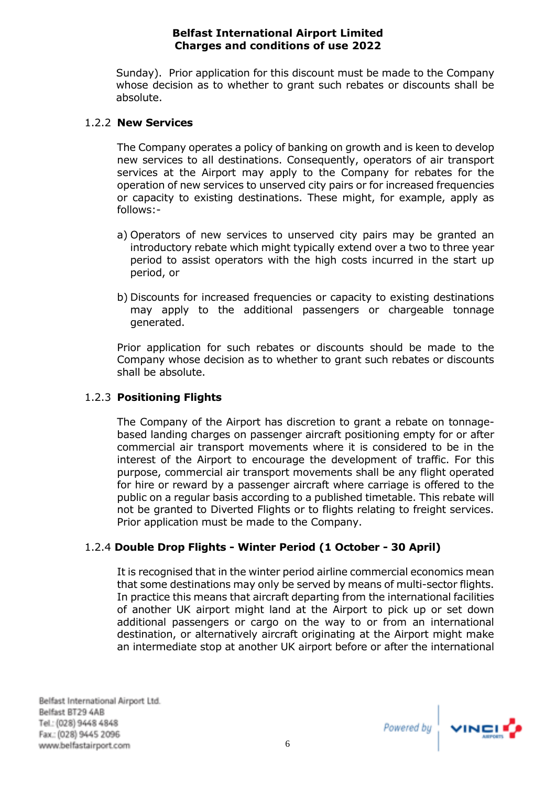Sunday). Prior application for this discount must be made to the Company whose decision as to whether to grant such rebates or discounts shall be absolute.

## 1.2.2 **New Services**

The Company operates a policy of banking on growth and is keen to develop new services to all destinations. Consequently, operators of air transport services at the Airport may apply to the Company for rebates for the operation of new services to unserved city pairs or for increased frequencies or capacity to existing destinations. These might, for example, apply as follows:-

- a) Operators of new services to unserved city pairs may be granted an introductory rebate which might typically extend over a two to three year period to assist operators with the high costs incurred in the start up period, or
- b) Discounts for increased frequencies or capacity to existing destinations may apply to the additional passengers or chargeable tonnage generated.

Prior application for such rebates or discounts should be made to the Company whose decision as to whether to grant such rebates or discounts shall be absolute.

# 1.2.3 **Positioning Flights**

The Company of the Airport has discretion to grant a rebate on tonnagebased landing charges on passenger aircraft positioning empty for or after commercial air transport movements where it is considered to be in the interest of the Airport to encourage the development of traffic. For this purpose, commercial air transport movements shall be any flight operated for hire or reward by a passenger aircraft where carriage is offered to the public on a regular basis according to a published timetable. This rebate will not be granted to Diverted Flights or to flights relating to freight services. Prior application must be made to the Company.

# 1.2.4 **Double Drop Flights - Winter Period (1 October - 30 April)**

It is recognised that in the winter period airline commercial economics mean that some destinations may only be served by means of multi-sector flights. In practice this means that aircraft departing from the international facilities of another UK airport might land at the Airport to pick up or set down additional passengers or cargo on the way to or from an international destination, or alternatively aircraft originating at the Airport might make an intermediate stop at another UK airport before or after the international

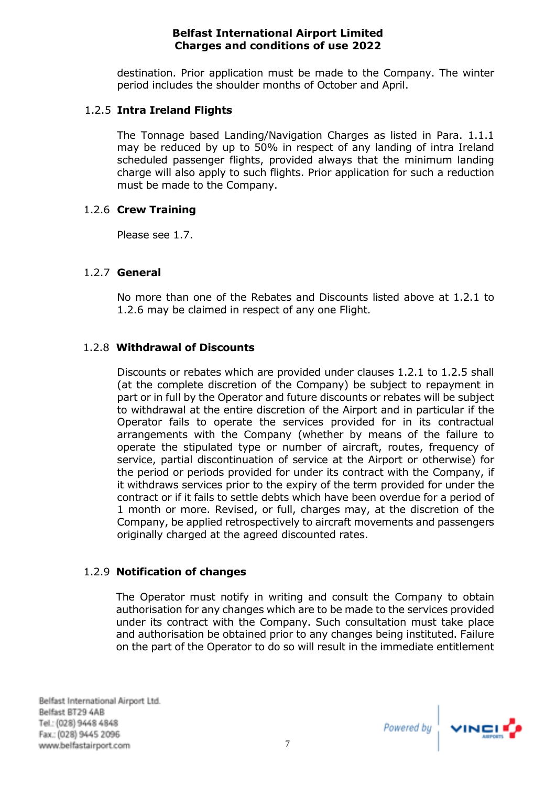destination. Prior application must be made to the Company. The winter period includes the shoulder months of October and April.

# 1.2.5 **Intra Ireland Flights**

The Tonnage based Landing/Navigation Charges as listed in Para. 1.1.1 may be reduced by up to 50% in respect of any landing of intra Ireland scheduled passenger flights, provided always that the minimum landing charge will also apply to such flights. Prior application for such a reduction must be made to the Company.

# 1.2.6 **Crew Training**

Please see 1.7.

# 1.2.7 **General**

No more than one of the Rebates and Discounts listed above at 1.2.1 to 1.2.6 may be claimed in respect of any one Flight.

# 1.2.8 **Withdrawal of Discounts**

Discounts or rebates which are provided under clauses 1.2.1 to 1.2.5 shall (at the complete discretion of the Company) be subject to repayment in part or in full by the Operator and future discounts or rebates will be subject to withdrawal at the entire discretion of the Airport and in particular if the Operator fails to operate the services provided for in its contractual arrangements with the Company (whether by means of the failure to operate the stipulated type or number of aircraft, routes, frequency of service, partial discontinuation of service at the Airport or otherwise) for the period or periods provided for under its contract with the Company, if it withdraws services prior to the expiry of the term provided for under the contract or if it fails to settle debts which have been overdue for a period of 1 month or more. Revised, or full, charges may, at the discretion of the Company, be applied retrospectively to aircraft movements and passengers originally charged at the agreed discounted rates.

# 1.2.9 **Notification of changes**

The Operator must notify in writing and consult the Company to obtain authorisation for any changes which are to be made to the services provided under its contract with the Company. Such consultation must take place and authorisation be obtained prior to any changes being instituted. Failure on the part of the Operator to do so will result in the immediate entitlement

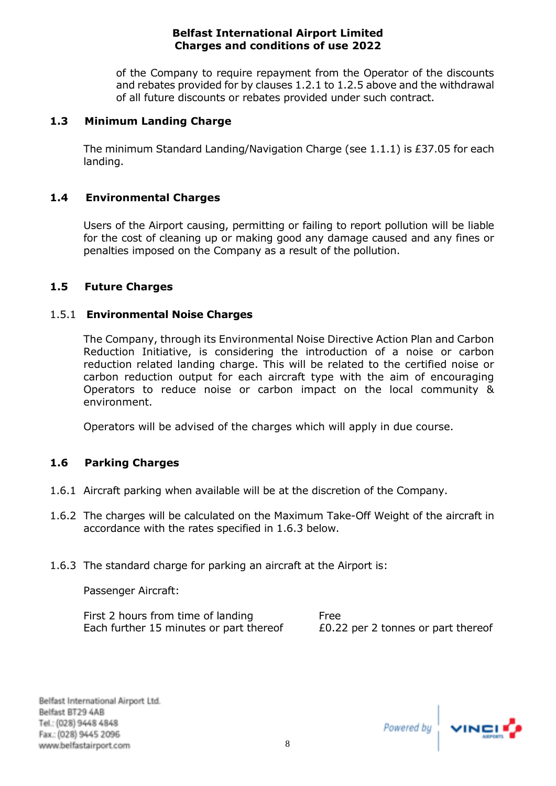of the Company to require repayment from the Operator of the discounts and rebates provided for by clauses 1.2.1 to 1.2.5 above and the withdrawal of all future discounts or rebates provided under such contract.

## <span id="page-10-0"></span>**1.3 Minimum Landing Charge**

The minimum Standard Landing/Navigation Charge (see 1.1.1) is £37.05 for each landing.

## <span id="page-10-1"></span>**1.4 Environmental Charges**

Users of the Airport causing, permitting or failing to report pollution will be liable for the cost of cleaning up or making good any damage caused and any fines or penalties imposed on the Company as a result of the pollution.

#### <span id="page-10-2"></span>**1.5 Future Charges**

#### 1.5.1 **Environmental Noise Charges**

The Company, through its Environmental Noise Directive Action Plan and Carbon Reduction Initiative, is considering the introduction of a noise or carbon reduction related landing charge. This will be related to the certified noise or carbon reduction output for each aircraft type with the aim of encouraging Operators to reduce noise or carbon impact on the local community & environment.

Operators will be advised of the charges which will apply in due course.

## <span id="page-10-3"></span>**1.6 Parking Charges**

- 1.6.1 Aircraft parking when available will be at the discretion of the Company.
- 1.6.2 The charges will be calculated on the Maximum Take-Off Weight of the aircraft in accordance with the rates specified in 1.6.3 below.
- 1.6.3 The standard charge for parking an aircraft at the Airport is:

Passenger Aircraft:

First 2 hours from time of landing Free Each further 15 minutes or part thereof  $E0.22$  per 2 tonnes or part thereof

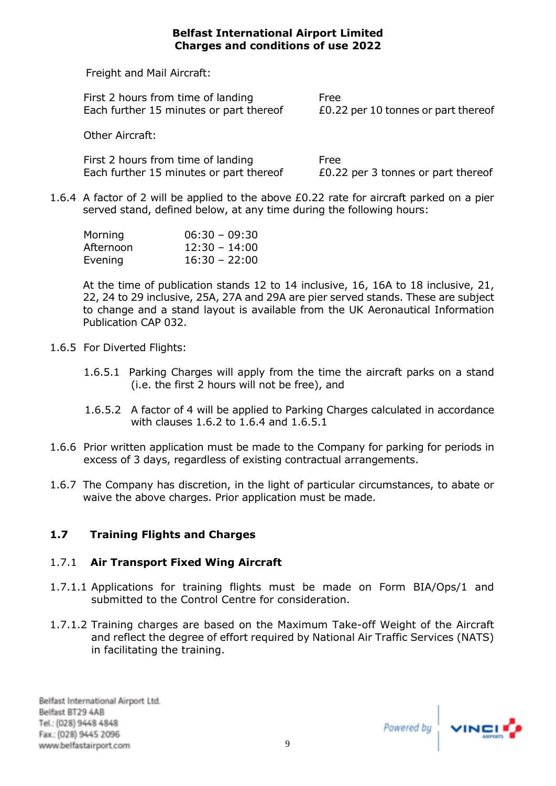Freight and Mail Aircraft:

| First 2 hours from time of landing      | Free                                |
|-----------------------------------------|-------------------------------------|
| Each further 15 minutes or part thereof | £0.22 per 10 tonnes or part thereof |

Other Aircraft:

First 2 hours from time of landing Free Each further 15 minutes or part thereof E0.22 per 3 tonnes or part thereof

1.6.4 A factor of 2 will be applied to the above £0.22 rate for aircraft parked on a pier served stand, defined below, at any time during the following hours:

| Morning   | $06:30 - 09:30$ |
|-----------|-----------------|
| Afternoon | $12:30 - 14:00$ |
| Evening   | $16:30 - 22:00$ |

At the time of publication stands 12 to 14 inclusive, 16, 16A to 18 inclusive, 21, 22, 24 to 29 inclusive, 25A, 27A and 29A are pier served stands. These are subject to change and a stand layout is available from the UK Aeronautical Information Publication CAP 032.

- 1.6.5 For Diverted Flights:
	- 1.6.5.1 Parking Charges will apply from the time the aircraft parks on a stand (i.e. the first 2 hours will not be free), and
	- 1.6.5.2 A factor of 4 will be applied to Parking Charges calculated in accordance with clauses 1.6.2 to 1.6.4 and 1.6.5.1
- 1.6.6 Prior written application must be made to the Company for parking for periods in excess of 3 days, regardless of existing contractual arrangements.
- 1.6.7 The Company has discretion, in the light of particular circumstances, to abate or waive the above charges. Prior application must be made.

# <span id="page-11-0"></span>**1.7 Training Flights and Charges**

# 1.7.1 **Air Transport Fixed Wing Aircraft**

- 1.7.1.1 Applications for training flights must be made on Form BIA/Ops/1 and submitted to the Control Centre for consideration.
- 1.7.1.2 Training charges are based on the Maximum Take-off Weight of the Aircraft and reflect the degree of effort required by National Air Traffic Services (NATS) in facilitating the training.

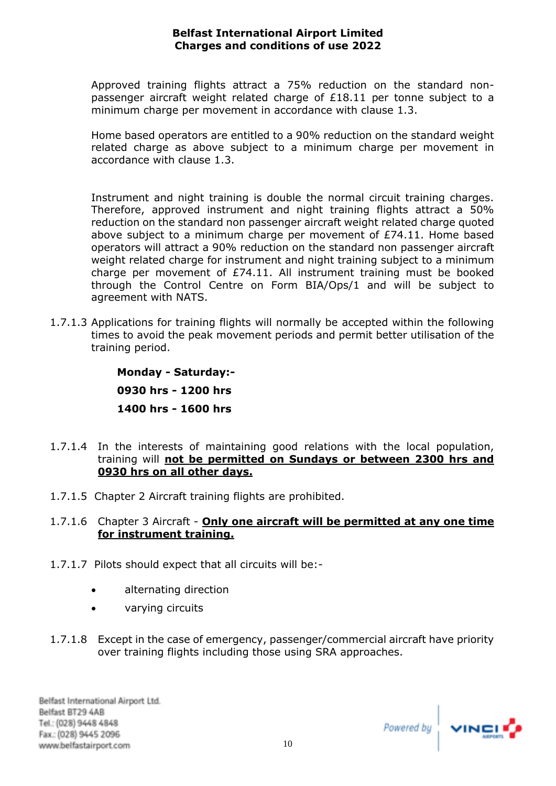Approved training flights attract a 75% reduction on the standard nonpassenger aircraft weight related charge of £18.11 per tonne subject to a minimum charge per movement in accordance with clause 1.3.

Home based operators are entitled to a 90% reduction on the standard weight related charge as above subject to a minimum charge per movement in accordance with clause 1.3.

Instrument and night training is double the normal circuit training charges. Therefore, approved instrument and night training flights attract a 50% reduction on the standard non passenger aircraft weight related charge quoted above subject to a minimum charge per movement of £74.11. Home based operators will attract a 90% reduction on the standard non passenger aircraft weight related charge for instrument and night training subject to a minimum charge per movement of £74.11. All instrument training must be booked through the Control Centre on Form BIA/Ops/1 and will be subject to agreement with NATS.

1.7.1.3 Applications for training flights will normally be accepted within the following times to avoid the peak movement periods and permit better utilisation of the training period.

> **Monday - Saturday:- 0930 hrs - 1200 hrs 1400 hrs - 1600 hrs**

- 1.7.1.4 In the interests of maintaining good relations with the local population, training will **not be permitted on Sundays or between 2300 hrs and 0930 hrs on all other days.**
- 1.7.1.5 Chapter 2 Aircraft training flights are prohibited.
- 1.7.1.6 Chapter 3 Aircraft **Only one aircraft will be permitted at any one time for instrument training.**
- 1.7.1.7Pilots should expect that all circuits will be:-
	- alternating direction
	- varying circuits
- 1.7.1.8 Except in the case of emergency, passenger/commercial aircraft have priority over training flights including those using SRA approaches.

Powered by  $\sqrt{ }$  vincil<sup>2</sup>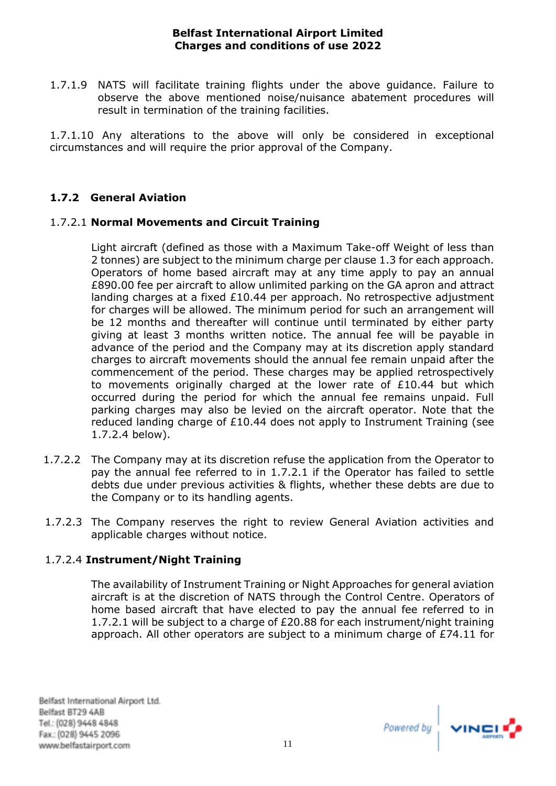1.7.1.9 NATS will facilitate training flights under the above guidance. Failure to observe the above mentioned noise/nuisance abatement procedures will result in termination of the training facilities.

1.7.1.10 Any alterations to the above will only be considered in exceptional circumstances and will require the prior approval of the Company.

# **1.7.2 General Aviation**

# 1.7.2.1 **Normal Movements and Circuit Training**

Light aircraft (defined as those with a Maximum Take-off Weight of less than 2 tonnes) are subject to the minimum charge per clause 1.3 for each approach. Operators of home based aircraft may at any time apply to pay an annual £890.00 fee per aircraft to allow unlimited parking on the GA apron and attract landing charges at a fixed £10.44 per approach. No retrospective adjustment for charges will be allowed. The minimum period for such an arrangement will be 12 months and thereafter will continue until terminated by either party giving at least 3 months written notice. The annual fee will be payable in advance of the period and the Company may at its discretion apply standard charges to aircraft movements should the annual fee remain unpaid after the commencement of the period. These charges may be applied retrospectively to movements originally charged at the lower rate of  $£10.44$  but which occurred during the period for which the annual fee remains unpaid. Full parking charges may also be levied on the aircraft operator. Note that the reduced landing charge of £10.44 does not apply to Instrument Training (see 1.7.2.4 below).

- 1.7.2.2 The Company may at its discretion refuse the application from the Operator to pay the annual fee referred to in 1.7.2.1 if the Operator has failed to settle debts due under previous activities & flights, whether these debts are due to the Company or to its handling agents.
- 1.7.2.3 The Company reserves the right to review General Aviation activities and applicable charges without notice.

## 1.7.2.4 **Instrument/Night Training**

The availability of Instrument Training or Night Approaches for general aviation aircraft is at the discretion of NATS through the Control Centre. Operators of home based aircraft that have elected to pay the annual fee referred to in 1.7.2.1 will be subject to a charge of £20.88 for each instrument/night training approach. All other operators are subject to a minimum charge of £74.11 for

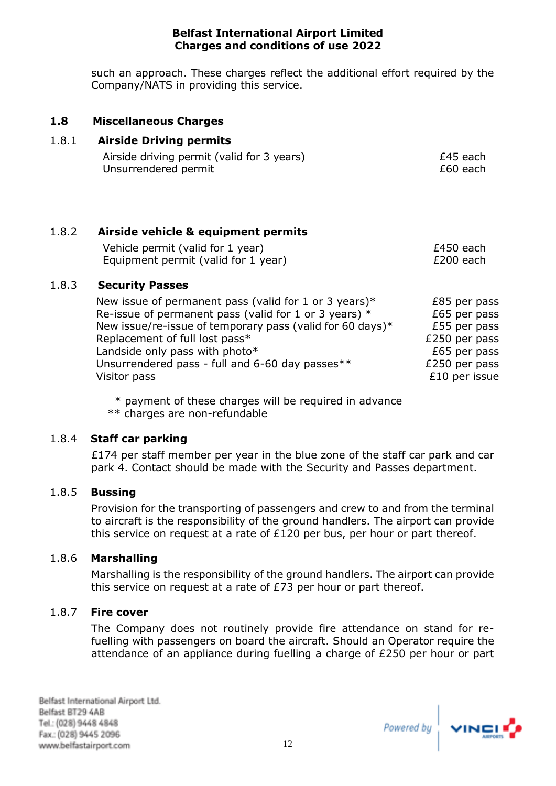such an approach. These charges reflect the additional effort required by the Company/NATS in providing this service.

## <span id="page-14-0"></span>**1.8 Miscellaneous Charges**

# 1.8.1 **Airside Driving permits**

| Airside driving permit (valid for 3 years) | £45 each |
|--------------------------------------------|----------|
| Unsurrendered permit                       | £60 each |

# 1.8.2 **Airside vehicle & equipment permits**

| Vehicle permit (valid for 1 year)   | £450 each |
|-------------------------------------|-----------|
| Equipment permit (valid for 1 year) | £200 each |

## 1.8.3 **Security Passes**

| New issue of permanent pass (valid for 1 or 3 years)*     | £85 per pass  |
|-----------------------------------------------------------|---------------|
| Re-issue of permanent pass (valid for 1 or 3 years) $*$   | £65 per pass  |
| New issue/re-issue of temporary pass (valid for 60 days)* | £55 per pass  |
| Replacement of full lost pass*                            | £250 per pass |
| Landside only pass with photo*                            | £65 per pass  |
| Unsurrendered pass - full and 6-60 day passes**           | £250 per pass |
| Visitor pass                                              | £10 per issue |

\* payment of these charges will be required in advance

\*\* charges are non-refundable

## 1.8.4 **Staff car parking**

£174 per staff member per year in the blue zone of the staff car park and car park 4. Contact should be made with the Security and Passes department.

## 1.8.5 **Bussing**

Provision for the transporting of passengers and crew to and from the terminal to aircraft is the responsibility of the ground handlers. The airport can provide this service on request at a rate of £120 per bus, per hour or part thereof.

## 1.8.6 **Marshalling**

Marshalling is the responsibility of the ground handlers. The airport can provide this service on request at a rate of £73 per hour or part thereof.

## 1.8.7 **Fire cover**

The Company does not routinely provide fire attendance on stand for refuelling with passengers on board the aircraft. Should an Operator require the attendance of an appliance during fuelling a charge of £250 per hour or part

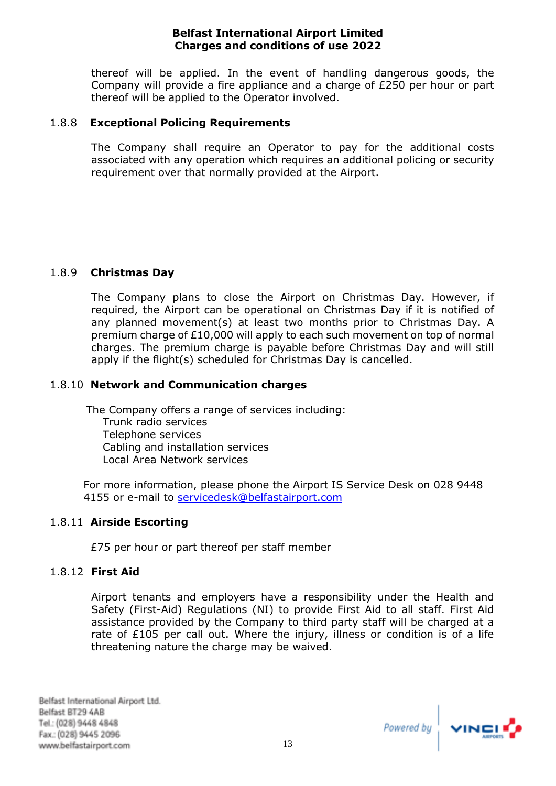thereof will be applied. In the event of handling dangerous goods, the Company will provide a fire appliance and a charge of £250 per hour or part thereof will be applied to the Operator involved.

## 1.8.8 **Exceptional Policing Requirements**

The Company shall require an Operator to pay for the additional costs associated with any operation which requires an additional policing or security requirement over that normally provided at the Airport.

# 1.8.9 **Christmas Day**

The Company plans to close the Airport on Christmas Day. However, if required, the Airport can be operational on Christmas Day if it is notified of any planned movement(s) at least two months prior to Christmas Day. A premium charge of £10,000 will apply to each such movement on top of normal charges. The premium charge is payable before Christmas Day and will still apply if the flight(s) scheduled for Christmas Day is cancelled.

# 1.8.10 **Network and Communication charges**

The Company offers a range of services including: Trunk radio services Telephone services Cabling and installation services Local Area Network services

For more information, please phone the Airport IS Service Desk on 028 9448 4155 or e-mail to [servicedesk@belfastairport.com](mailto:servicedesk@belfastairport.com)

## 1.8.11 **Airside Escorting**

£75 per hour or part thereof per staff member

## 1.8.12 **First Aid**

Airport tenants and employers have a responsibility under the Health and Safety (First-Aid) Regulations (NI) to provide First Aid to all staff. First Aid assistance provided by the Company to third party staff will be charged at a rate of  $£105$  per call out. Where the injury, illness or condition is of a life threatening nature the charge may be waived.

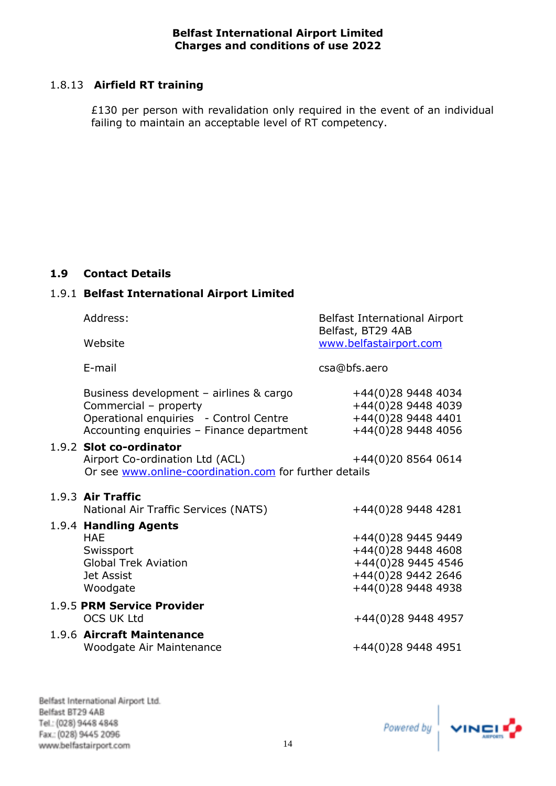# 1.8.13 **Airfield RT training**

£130 per person with revalidation only required in the event of an individual failing to maintain an acceptable level of RT competency.

## <span id="page-16-0"></span>**1.9 Contact Details**

# 1.9.1 **Belfast International Airport Limited**

| Address:                                                                                                                                                | <b>Belfast International Airport</b><br>Belfast, BT29 4AB                                                  |
|---------------------------------------------------------------------------------------------------------------------------------------------------------|------------------------------------------------------------------------------------------------------------|
| Website                                                                                                                                                 | www.belfastairport.com                                                                                     |
| E-mail                                                                                                                                                  | csa@bfs.aero                                                                                               |
| Business development - airlines & cargo<br>Commercial - property<br>Operational enquiries - Control Centre<br>Accounting enquiries - Finance department | +44(0)28 9448 4034<br>+44(0)28 9448 4039<br>+44(0)28 9448 4401<br>+44(0)28 9448 4056                       |
| 1.9.2 Slot co-ordinator<br>Airport Co-ordination Ltd (ACL)<br>Or see www.online-coordination.com for further details                                    | +44(0)20 8564 0614                                                                                         |
| 1.9.3 Air Traffic<br>National Air Traffic Services (NATS)                                                                                               | +44(0)28 9448 4281                                                                                         |
| 1.9.4 Handling Agents<br><b>HAE</b><br>Swissport<br><b>Global Trek Aviation</b><br><b>Jet Assist</b><br>Woodgate                                        | +44(0)28 9445 9449<br>+44(0)28 9448 4608<br>+44(0)28 9445 4546<br>+44(0)28 9442 2646<br>+44(0)28 9448 4938 |
| 1.9.5 PRM Service Provider<br><b>OCS UK Ltd</b>                                                                                                         | +44(0)28 9448 4957                                                                                         |
| 1.9.6 Aircraft Maintenance<br>Woodgate Air Maintenance                                                                                                  | +44(0)28 9448 4951                                                                                         |

Belfast International Airport Ltd. Belfast BT29 4AB Tel.: (028) 9448 4848 Fax: (028) 9445 2096 www.belfastairport.com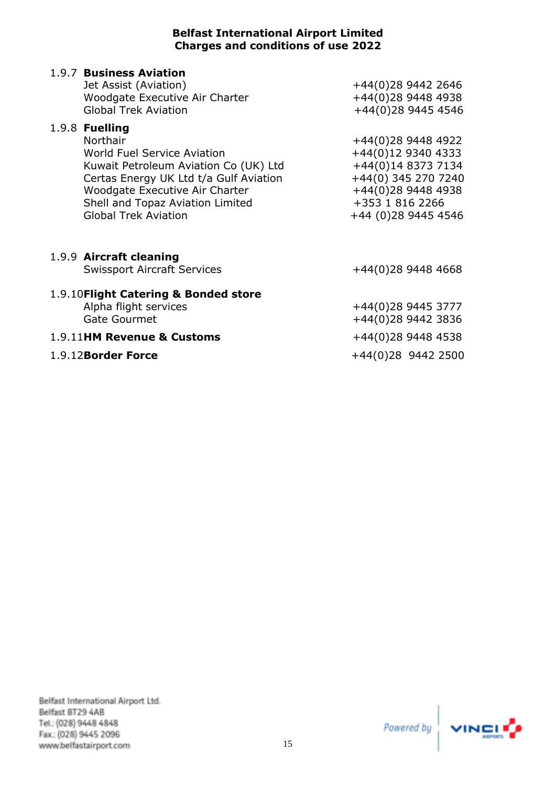| 1.9.7 Business Aviation<br>Jet Assist (Aviation)<br><b>Woodgate Executive Air Charter</b><br><b>Global Trek Aviation</b>                                                                                                                          | +44(0)28 9442 2646<br>+44(0)28 9448 4938<br>+44(0)28 9445 4546                                                                                        |
|---------------------------------------------------------------------------------------------------------------------------------------------------------------------------------------------------------------------------------------------------|-------------------------------------------------------------------------------------------------------------------------------------------------------|
| 1.9.8 Fuelling<br>Northair<br>World Fuel Service Aviation<br>Kuwait Petroleum Aviation Co (UK) Ltd<br>Certas Energy UK Ltd t/a Gulf Aviation<br>Woodgate Executive Air Charter<br>Shell and Topaz Aviation Limited<br><b>Global Trek Aviation</b> | +44(0)28 9448 4922<br>+44(0)12 9340 4333<br>+44(0)14 8373 7134<br>+44(0) 345 270 7240<br>+44(0)28 9448 4938<br>+353 1 816 2266<br>+44 (0)28 9445 4546 |
| 1.9.9 Aircraft cleaning<br><b>Swissport Aircraft Services</b>                                                                                                                                                                                     | $+44(0)28$ 9448 4668                                                                                                                                  |
| 1.9.10 Flight Catering & Bonded store<br>Alpha flight services<br><b>Gate Gourmet</b><br>1.9.11HM Revenue & Customs                                                                                                                               | +44(0)28 9445 3777<br>+44(0)28 9442 3836<br>+44(0)28 9448 4538                                                                                        |
| 1.9.12Border Force                                                                                                                                                                                                                                | +44(0)28 9442 2500                                                                                                                                    |

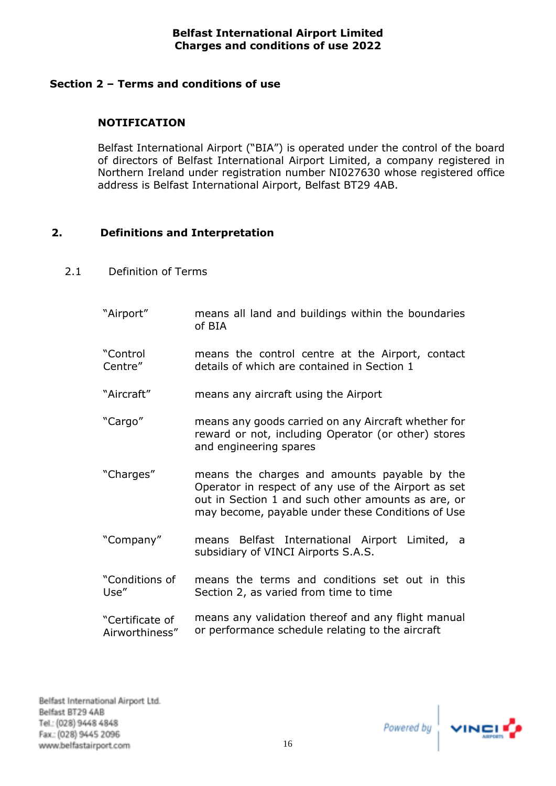# <span id="page-18-0"></span>**Section 2 – Terms and conditions of use**

# **NOTIFICATION**

Belfast International Airport ("BIA") is operated under the control of the board of directors of Belfast International Airport Limited, a company registered in Northern Ireland under registration number NI027630 whose registered office address is Belfast International Airport, Belfast BT29 4AB.

## <span id="page-18-1"></span>**2. Definitions and Interpretation**

- 2.1 Definition of Terms
	- "Airport" means all land and buildings within the boundaries of BIA "Control Centre" means the control centre at the Airport, contact details of which are contained in Section 1
	- "Aircraft" means any aircraft using the Airport
	- "Cargo" means any goods carried on any Aircraft whether for reward or not, including Operator (or other) stores and engineering spares
	- "Charges" means the charges and amounts payable by the Operator in respect of any use of the Airport as set out in Section 1 and such other amounts as are, or may become, payable under these Conditions of Use
	- "Company" means Belfast International Airport Limited, a subsidiary of VINCI Airports S.A.S.
	- "Conditions of Use" means the terms and conditions set out in this Section 2, as varied from time to time
	- "Certificate of Airworthiness" means any validation thereof and any flight manual or performance schedule relating to the aircraft

Powered by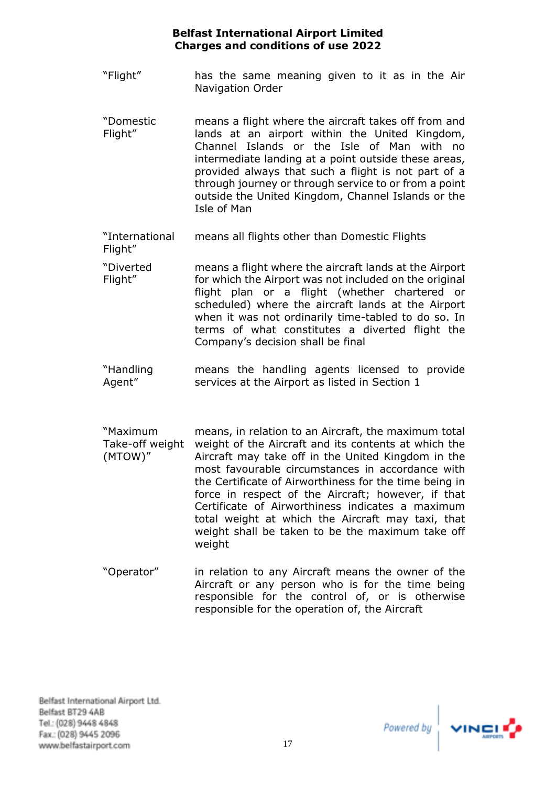- "Flight" has the same meaning given to it as in the Air Navigation Order
- "Domestic Flight" means a flight where the aircraft takes off from and lands at an airport within the United Kingdom, Channel Islands or the Isle of Man with no intermediate landing at a point outside these areas, provided always that such a flight is not part of a through journey or through service to or from a point outside the United Kingdom, Channel Islands or the Isle of Man
- "International Flight" means all flights other than Domestic Flights
- "Diverted Flight" means a flight where the aircraft lands at the Airport for which the Airport was not included on the original flight plan or a flight (whether chartered or scheduled) where the aircraft lands at the Airport when it was not ordinarily time-tabled to do so. In terms of what constitutes a diverted flight the Company's decision shall be final
- "Handling Agent" means the handling agents licensed to provide services at the Airport as listed in Section 1
- "Maximum Take-off weight weight of the Aircraft and its contents at which the (MTOW)" means, in relation to an Aircraft, the maximum total Aircraft may take off in the United Kingdom in the most favourable circumstances in accordance with the Certificate of Airworthiness for the time being in force in respect of the Aircraft; however, if that Certificate of Airworthiness indicates a maximum total weight at which the Aircraft may taxi, that weight shall be taken to be the maximum take off weight
- "Operator" in relation to any Aircraft means the owner of the Aircraft or any person who is for the time being responsible for the control of, or is otherwise responsible for the operation of, the Aircraft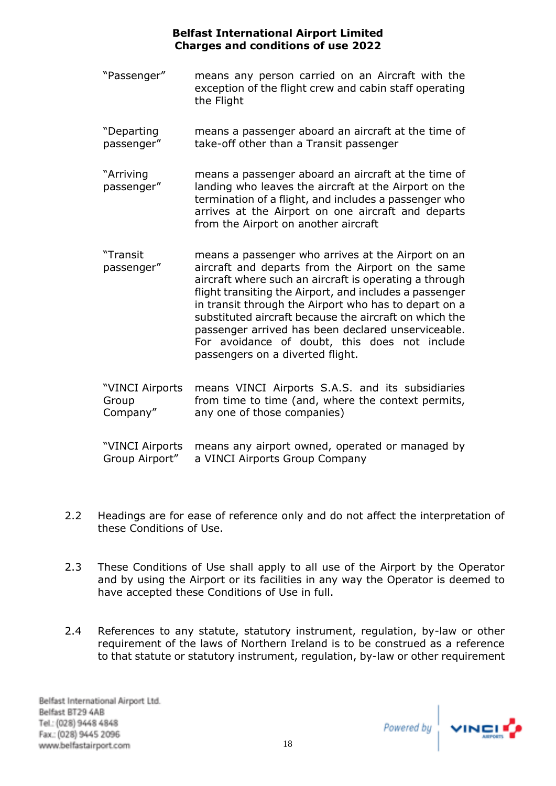- "Passenger" means any person carried on an Aircraft with the exception of the flight crew and cabin staff operating the Flight
- "Departing passenger" means a passenger aboard an aircraft at the time of take-off other than a Transit passenger
- "Arriving passenger" means a passenger aboard an aircraft at the time of landing who leaves the aircraft at the Airport on the termination of a flight, and includes a passenger who arrives at the Airport on one aircraft and departs from the Airport on another aircraft
- "Transit passenger" means a passenger who arrives at the Airport on an aircraft and departs from the Airport on the same aircraft where such an aircraft is operating a through flight transiting the Airport, and includes a passenger in transit through the Airport who has to depart on a substituted aircraft because the aircraft on which the passenger arrived has been declared unserviceable. For avoidance of doubt, this does not include passengers on a diverted flight.
- "VINCI Airports means VINCI Airports S.A.S. and its subsidiaries Group Company" from time to time (and, where the context permits, any one of those companies)
- "VINCI Airports means any airport owned, operated or managed by Group Airport" a VINCI Airports Group Company
- 2.2 Headings are for ease of reference only and do not affect the interpretation of these Conditions of Use.
- 2.3 These Conditions of Use shall apply to all use of the Airport by the Operator and by using the Airport or its facilities in any way the Operator is deemed to have accepted these Conditions of Use in full.
- 2.4 References to any statute, statutory instrument, regulation, by-law or other requirement of the laws of Northern Ireland is to be construed as a reference to that statute or statutory instrument, regulation, by-law or other requirement

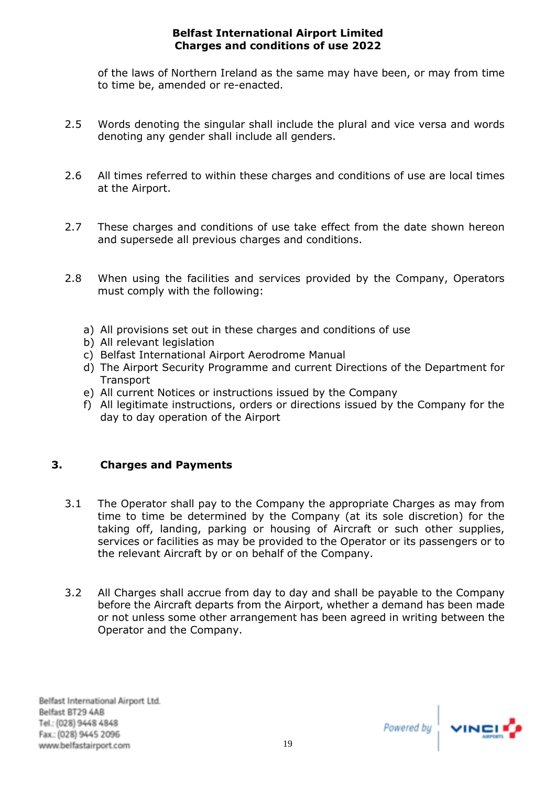of the laws of Northern Ireland as the same may have been, or may from time to time be, amended or re-enacted.

- 2.5 Words denoting the singular shall include the plural and vice versa and words denoting any gender shall include all genders.
- 2.6 All times referred to within these charges and conditions of use are local times at the Airport.
- 2.7 These charges and conditions of use take effect from the date shown hereon and supersede all previous charges and conditions.
- 2.8 When using the facilities and services provided by the Company, Operators must comply with the following:
	- a) All provisions set out in these charges and conditions of use
	- b) All relevant legislation
	- c) Belfast International Airport Aerodrome Manual
	- d) The Airport Security Programme and current Directions of the Department for **Transport**
	- e) All current Notices or instructions issued by the Company
	- f) All legitimate instructions, orders or directions issued by the Company for the day to day operation of the Airport

# <span id="page-21-0"></span>**3. Charges and Payments**

- 3.1 The Operator shall pay to the Company the appropriate Charges as may from time to time be determined by the Company (at its sole discretion) for the taking off, landing, parking or housing of Aircraft or such other supplies, services or facilities as may be provided to the Operator or its passengers or to the relevant Aircraft by or on behalf of the Company.
- 3.2 All Charges shall accrue from day to day and shall be payable to the Company before the Aircraft departs from the Airport, whether a demand has been made or not unless some other arrangement has been agreed in writing between the Operator and the Company.

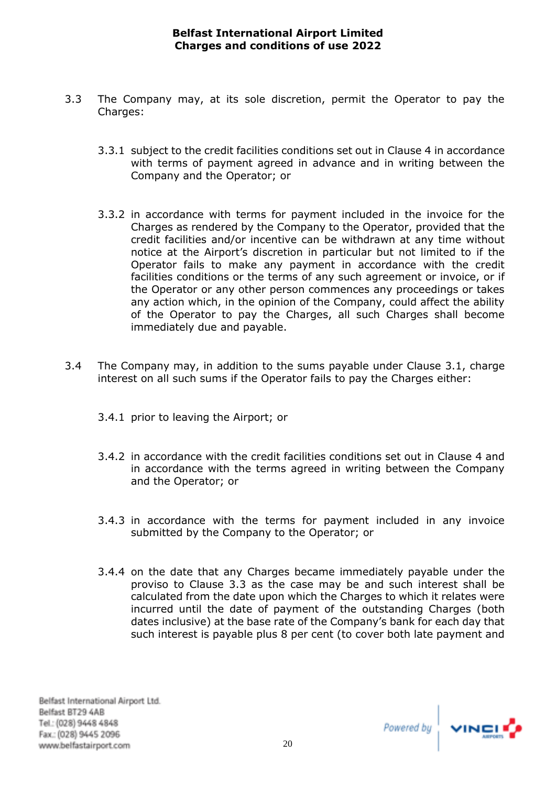- 3.3 The Company may, at its sole discretion, permit the Operator to pay the Charges:
	- 3.3.1 subject to the credit facilities conditions set out in Clause [4](#page-24-0) in accordance with terms of payment agreed in advance and in writing between the Company and the Operator; or
	- 3.3.2 in accordance with terms for payment included in the invoice for the Charges as rendered by the Company to the Operator, provided that the credit facilities and/or incentive can be withdrawn at any time without notice at the Airport's discretion in particular but not limited to if the Operator fails to make any payment in accordance with the credit facilities conditions or the terms of any such agreement or invoice, or if the Operator or any other person commences any proceedings or takes any action which, in the opinion of the Company, could affect the ability of the Operator to pay the Charges, all such Charges shall become immediately due and payable.
- 3.4 The Company may, in addition to the sums payable under Clause 3.1, charge interest on all such sums if the Operator fails to pay the Charges either:
	- 3.4.1 prior to leaving the Airport; or
	- 3.4.2 in accordance with the credit facilities conditions set out in Clause 4 and in accordance with the terms agreed in writing between the Company and the Operator; or
	- 3.4.3 in accordance with the terms for payment included in any invoice submitted by the Company to the Operator; or
	- 3.4.4 on the date that any Charges became immediately payable under the proviso to Clause 3.3 as the case may be and such interest shall be calculated from the date upon which the Charges to which it relates were incurred until the date of payment of the outstanding Charges (both dates inclusive) at the base rate of the Company's bank for each day that such interest is payable plus 8 per cent (to cover both late payment and

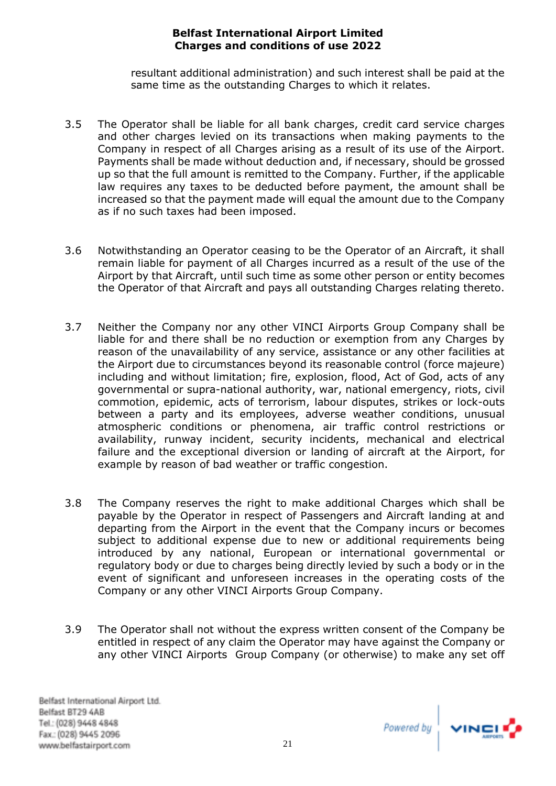resultant additional administration) and such interest shall be paid at the same time as the outstanding Charges to which it relates.

- 3.5 The Operator shall be liable for all bank charges, credit card service charges and other charges levied on its transactions when making payments to the Company in respect of all Charges arising as a result of its use of the Airport. Payments shall be made without deduction and, if necessary, should be grossed up so that the full amount is remitted to the Company. Further, if the applicable law requires any taxes to be deducted before payment, the amount shall be increased so that the payment made will equal the amount due to the Company as if no such taxes had been imposed.
- 3.6 Notwithstanding an Operator ceasing to be the Operator of an Aircraft, it shall remain liable for payment of all Charges incurred as a result of the use of the Airport by that Aircraft, until such time as some other person or entity becomes the Operator of that Aircraft and pays all outstanding Charges relating thereto.
- 3.7 Neither the Company nor any other VINCI Airports Group Company shall be liable for and there shall be no reduction or exemption from any Charges by reason of the unavailability of any service, assistance or any other facilities at the Airport due to circumstances beyond its reasonable control (force majeure) including and without limitation; fire, explosion, flood, Act of God, acts of any governmental or supra-national authority, war, national emergency, riots, civil commotion, epidemic, acts of terrorism, labour disputes, strikes or lock-outs between a party and its employees, adverse weather conditions, unusual atmospheric conditions or phenomena, air traffic control restrictions or availability, runway incident, security incidents, mechanical and electrical failure and the exceptional diversion or landing of aircraft at the Airport, for example by reason of bad weather or traffic congestion.
- 3.8 The Company reserves the right to make additional Charges which shall be payable by the Operator in respect of Passengers and Aircraft landing at and departing from the Airport in the event that the Company incurs or becomes subject to additional expense due to new or additional requirements being introduced by any national, European or international governmental or regulatory body or due to charges being directly levied by such a body or in the event of significant and unforeseen increases in the operating costs of the Company or any other VINCI Airports Group Company.
- 3.9 The Operator shall not without the express written consent of the Company be entitled in respect of any claim the Operator may have against the Company or any other VINCI Airports Group Company (or otherwise) to make any set off

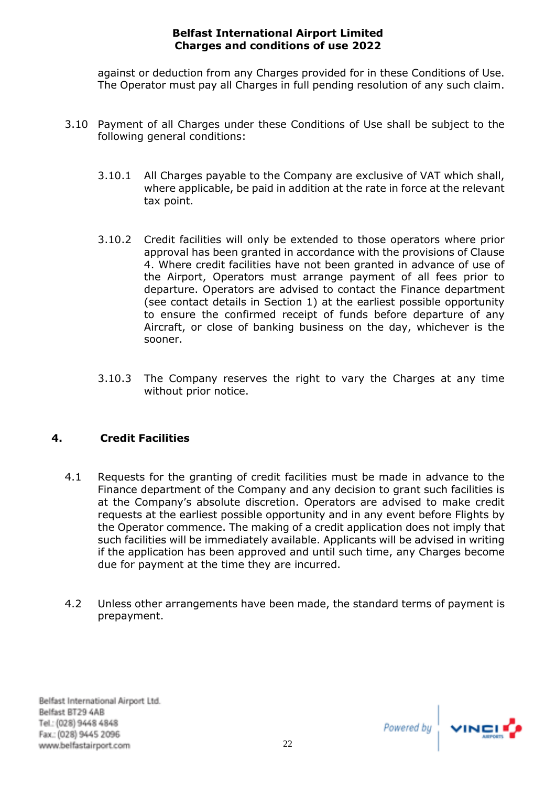against or deduction from any Charges provided for in these Conditions of Use. The Operator must pay all Charges in full pending resolution of any such claim.

- 3.10 Payment of all Charges under these Conditions of Use shall be subject to the following general conditions:
	- 3.10.1 All Charges payable to the Company are exclusive of VAT which shall, where applicable, be paid in addition at the rate in force at the relevant tax point.
	- 3.10.2 Credit facilities will only be extended to those operators where prior approval has been granted in accordance with the provisions of Clause 4. Where credit facilities have not been granted in advance of use of the Airport, Operators must arrange payment of all fees prior to departure. Operators are advised to contact the Finance department (see contact details in Section 1) at the earliest possible opportunity to ensure the confirmed receipt of funds before departure of any Aircraft, or close of banking business on the day, whichever is the sooner.
	- 3.10.3 The Company reserves the right to vary the Charges at any time without prior notice.

# <span id="page-24-0"></span>**4. Credit Facilities**

- 4.1 Requests for the granting of credit facilities must be made in advance to the Finance department of the Company and any decision to grant such facilities is at the Company's absolute discretion. Operators are advised to make credit requests at the earliest possible opportunity and in any event before Flights by the Operator commence. The making of a credit application does not imply that such facilities will be immediately available. Applicants will be advised in writing if the application has been approved and until such time, any Charges become due for payment at the time they are incurred.
- 4.2 Unless other arrangements have been made, the standard terms of payment is prepayment.

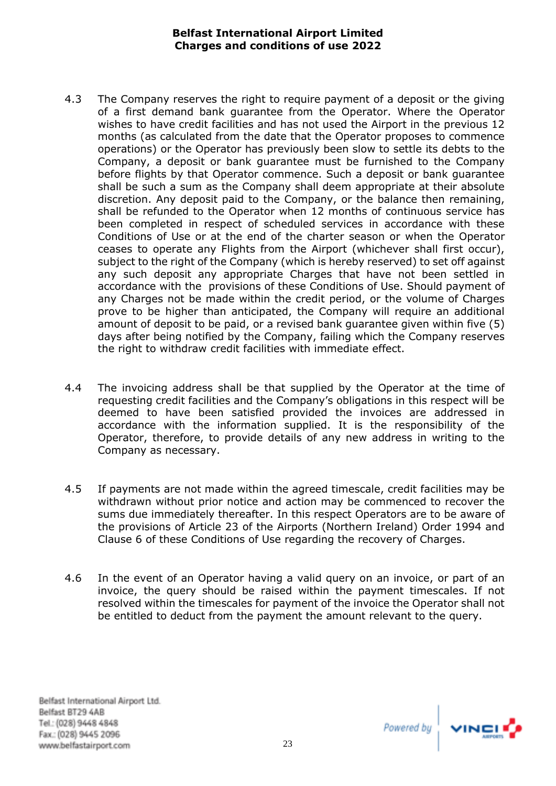- 4.3 The Company reserves the right to require payment of a deposit or the giving of a first demand bank guarantee from the Operator. Where the Operator wishes to have credit facilities and has not used the Airport in the previous 12 months (as calculated from the date that the Operator proposes to commence operations) or the Operator has previously been slow to settle its debts to the Company, a deposit or bank guarantee must be furnished to the Company before flights by that Operator commence. Such a deposit or bank guarantee shall be such a sum as the Company shall deem appropriate at their absolute discretion. Any deposit paid to the Company, or the balance then remaining, shall be refunded to the Operator when 12 months of continuous service has been completed in respect of scheduled services in accordance with these Conditions of Use or at the end of the charter season or when the Operator ceases to operate any Flights from the Airport (whichever shall first occur), subject to the right of the Company (which is hereby reserved) to set off against any such deposit any appropriate Charges that have not been settled in accordance with the provisions of these Conditions of Use. Should payment of any Charges not be made within the credit period, or the volume of Charges prove to be higher than anticipated, the Company will require an additional amount of deposit to be paid, or a revised bank guarantee given within five (5) days after being notified by the Company, failing which the Company reserves the right to withdraw credit facilities with immediate effect.
- 4.4 The invoicing address shall be that supplied by the Operator at the time of requesting credit facilities and the Company's obligations in this respect will be deemed to have been satisfied provided the invoices are addressed in accordance with the information supplied. It is the responsibility of the Operator, therefore, to provide details of any new address in writing to the Company as necessary.
- 4.5 If payments are not made within the agreed timescale, credit facilities may be withdrawn without prior notice and action may be commenced to recover the sums due immediately thereafter. In this respect Operators are to be aware of the provisions of Article 23 of the Airports (Northern Ireland) Order 1994 and Clause 6 of these Conditions of Use regarding the recovery of Charges.
- 4.6 In the event of an Operator having a valid query on an invoice, or part of an invoice, the query should be raised within the payment timescales. If not resolved within the timescales for payment of the invoice the Operator shall not be entitled to deduct from the payment the amount relevant to the query.

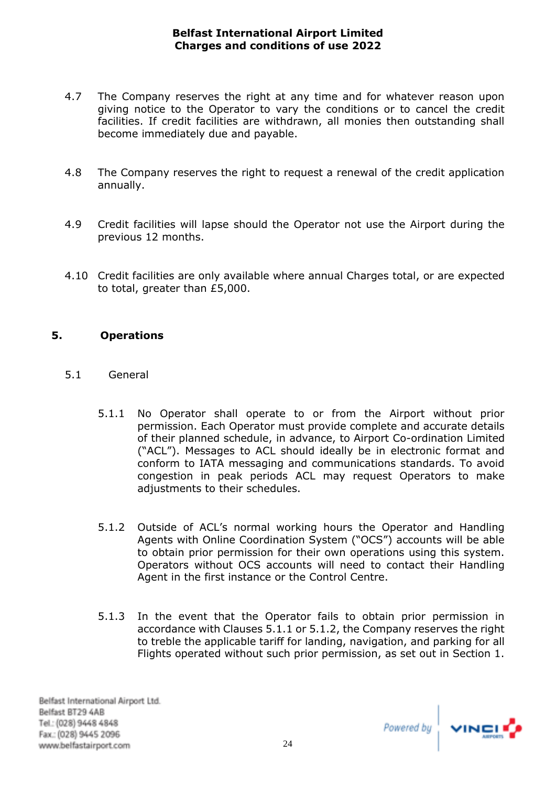- 4.7 The Company reserves the right at any time and for whatever reason upon giving notice to the Operator to vary the conditions or to cancel the credit facilities. If credit facilities are withdrawn, all monies then outstanding shall become immediately due and payable.
- 4.8 The Company reserves the right to request a renewal of the credit application annually.
- 4.9 Credit facilities will lapse should the Operator not use the Airport during the previous 12 months.
- 4.10 Credit facilities are only available where annual Charges total, or are expected to total, greater than £5,000.

# <span id="page-26-0"></span>**5. Operations**

- 5.1 General
	- 5.1.1 No Operator shall operate to or from the Airport without prior permission. Each Operator must provide complete and accurate details of their planned schedule, in advance, to Airport Co-ordination Limited ("ACL"). Messages to ACL should ideally be in electronic format and conform to IATA messaging and communications standards. To avoid congestion in peak periods ACL may request Operators to make adjustments to their schedules.
	- 5.1.2 Outside of ACL's normal working hours the Operator and Handling Agents with Online Coordination System ("OCS") accounts will be able to obtain prior permission for their own operations using this system. Operators without OCS accounts will need to contact their Handling Agent in the first instance or the Control Centre.
	- 5.1.3 In the event that the Operator fails to obtain prior permission in accordance with Clauses 5.1.1 or 5.1.2, the Company reserves the right to treble the applicable tariff for landing, navigation, and parking for all Flights operated without such prior permission, as set out in Section 1.

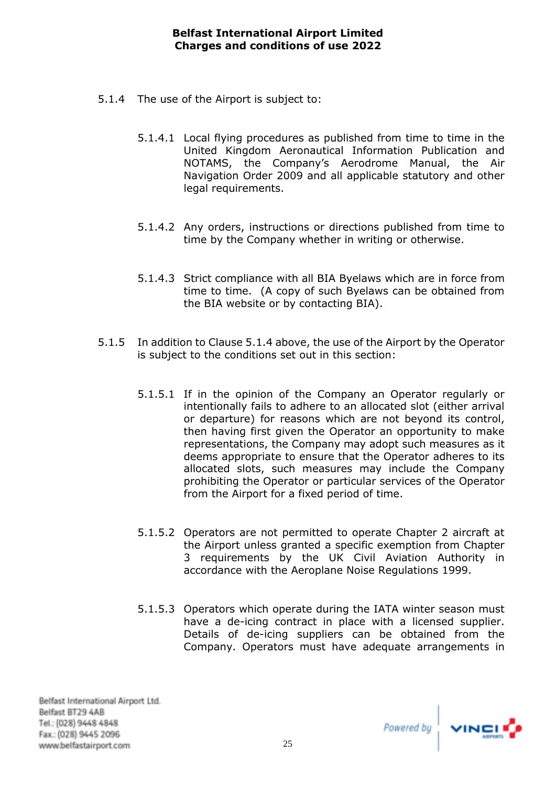- 5.1.4 The use of the Airport is subject to:
	- 5.1.4.1 Local flying procedures as published from time to time in the United Kingdom Aeronautical Information Publication and NOTAMS, the Company's Aerodrome Manual, the Air Navigation Order 2009 and all applicable statutory and other legal requirements.
	- 5.1.4.2 Any orders, instructions or directions published from time to time by the Company whether in writing or otherwise.
	- 5.1.4.3 Strict compliance with all BIA Byelaws which are in force from time to time. (A copy of such Byelaws can be obtained from the BIA website or by contacting BIA).
- 5.1.5 In addition to Clause 5.1.4 above, the use of the Airport by the Operator is subject to the conditions set out in this section:
	- 5.1.5.1 If in the opinion of the Company an Operator regularly or intentionally fails to adhere to an allocated slot (either arrival or departure) for reasons which are not beyond its control, then having first given the Operator an opportunity to make representations, the Company may adopt such measures as it deems appropriate to ensure that the Operator adheres to its allocated slots, such measures may include the Company prohibiting the Operator or particular services of the Operator from the Airport for a fixed period of time.
	- 5.1.5.2 Operators are not permitted to operate Chapter 2 aircraft at the Airport unless granted a specific exemption from Chapter 3 requirements by the UK Civil Aviation Authority in accordance with the Aeroplane Noise Regulations 1999.
	- 5.1.5.3 Operators which operate during the IATA winter season must have a de-icing contract in place with a licensed supplier. Details of de-icing suppliers can be obtained from the Company. Operators must have adequate arrangements in

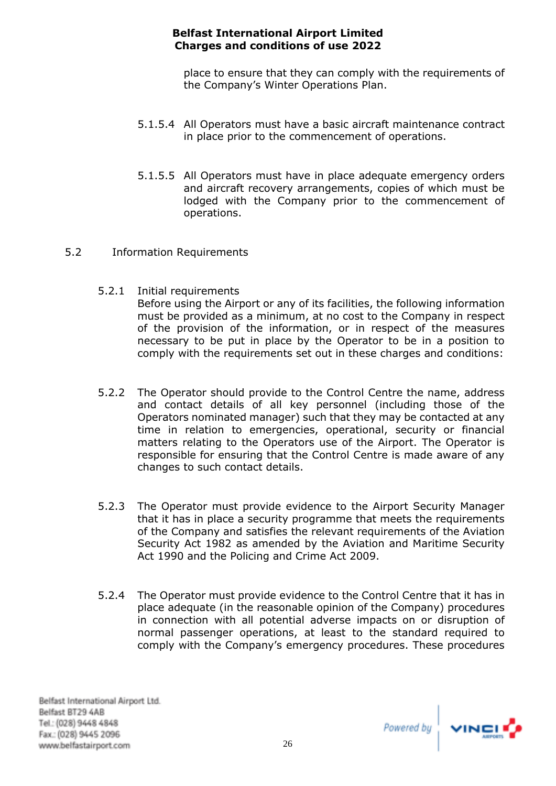place to ensure that they can comply with the requirements of the Company's Winter Operations Plan.

- 5.1.5.4 All Operators must have a basic aircraft maintenance contract in place prior to the commencement of operations.
- 5.1.5.5 All Operators must have in place adequate emergency orders and aircraft recovery arrangements, copies of which must be lodged with the Company prior to the commencement of operations.
- 5.2 Information Requirements
	- 5.2.1 Initial requirements Before using the Airport or any of its facilities, the following information must be provided as a minimum, at no cost to the Company in respect of the provision of the information, or in respect of the measures necessary to be put in place by the Operator to be in a position to comply with the requirements set out in these charges and conditions:
	- 5.2.2 The Operator should provide to the Control Centre the name, address and contact details of all key personnel (including those of the Operators nominated manager) such that they may be contacted at any time in relation to emergencies, operational, security or financial matters relating to the Operators use of the Airport. The Operator is responsible for ensuring that the Control Centre is made aware of any changes to such contact details.
	- 5.2.3 The Operator must provide evidence to the Airport Security Manager that it has in place a security programme that meets the requirements of the Company and satisfies the relevant requirements of the Aviation Security Act 1982 as amended by the Aviation and Maritime Security Act 1990 and the Policing and Crime Act 2009.
	- 5.2.4 The Operator must provide evidence to the Control Centre that it has in place adequate (in the reasonable opinion of the Company) procedures in connection with all potential adverse impacts on or disruption of normal passenger operations, at least to the standard required to comply with the Company's emergency procedures. These procedures

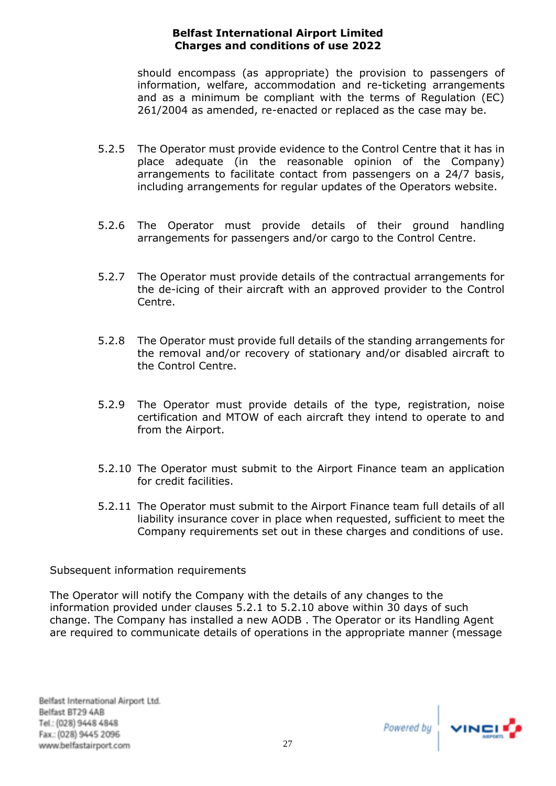should encompass (as appropriate) the provision to passengers of information, welfare, accommodation and re-ticketing arrangements and as a minimum be compliant with the terms of Regulation (EC) 261/2004 as amended, re-enacted or replaced as the case may be.

- 5.2.5 The Operator must provide evidence to the Control Centre that it has in place adequate (in the reasonable opinion of the Company) arrangements to facilitate contact from passengers on a 24/7 basis, including arrangements for regular updates of the Operators website.
- 5.2.6 The Operator must provide details of their ground handling arrangements for passengers and/or cargo to the Control Centre.
- 5.2.7 The Operator must provide details of the contractual arrangements for the de-icing of their aircraft with an approved provider to the Control Centre.
- 5.2.8 The Operator must provide full details of the standing arrangements for the removal and/or recovery of stationary and/or disabled aircraft to the Control Centre.
- 5.2.9 The Operator must provide details of the type, registration, noise certification and MTOW of each aircraft they intend to operate to and from the Airport.
- 5.2.10 The Operator must submit to the Airport Finance team an application for credit facilities.
- 5.2.11 The Operator must submit to the Airport Finance team full details of all liability insurance cover in place when requested, sufficient to meet the Company requirements set out in these charges and conditions of use.

# Subsequent information requirements

The Operator will notify the Company with the details of any changes to the information provided under clauses 5.2.1 to 5.2.10 above within 30 days of such change. The Company has installed a new AODB . The Operator or its Handling Agent are required to communicate details of operations in the appropriate manner (message

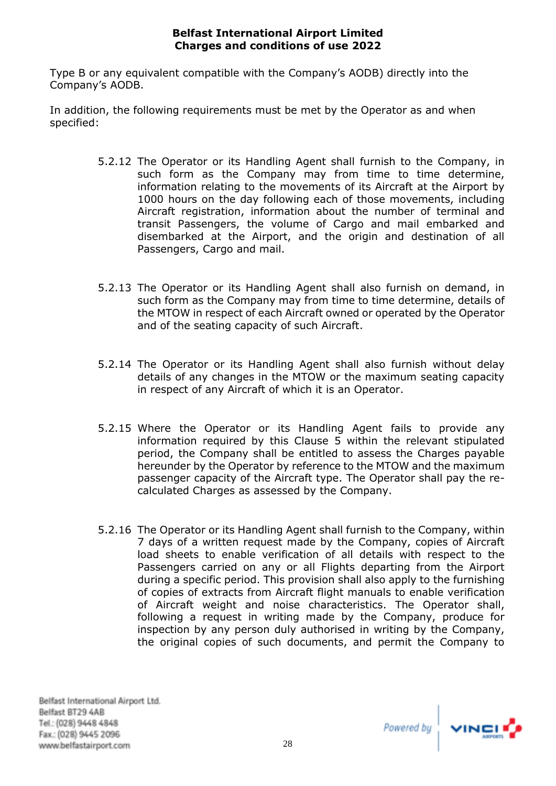Type B or any equivalent compatible with the Company's AODB) directly into the Company's AODB.

In addition, the following requirements must be met by the Operator as and when specified:

- 5.2.12 The Operator or its Handling Agent shall furnish to the Company, in such form as the Company may from time to time determine, information relating to the movements of its Aircraft at the Airport by 1000 hours on the day following each of those movements, including Aircraft registration, information about the number of terminal and transit Passengers, the volume of Cargo and mail embarked and disembarked at the Airport, and the origin and destination of all Passengers, Cargo and mail.
- 5.2.13 The Operator or its Handling Agent shall also furnish on demand, in such form as the Company may from time to time determine, details of the MTOW in respect of each Aircraft owned or operated by the Operator and of the seating capacity of such Aircraft.
- 5.2.14 The Operator or its Handling Agent shall also furnish without delay details of any changes in the MTOW or the maximum seating capacity in respect of any Aircraft of which it is an Operator.
- 5.2.15 Where the Operator or its Handling Agent fails to provide any information required by this Clause 5 within the relevant stipulated period, the Company shall be entitled to assess the Charges payable hereunder by the Operator by reference to the MTOW and the maximum passenger capacity of the Aircraft type. The Operator shall pay the recalculated Charges as assessed by the Company.
- 5.2.16 The Operator or its Handling Agent shall furnish to the Company, within 7 days of a written request made by the Company, copies of Aircraft load sheets to enable verification of all details with respect to the Passengers carried on any or all Flights departing from the Airport during a specific period. This provision shall also apply to the furnishing of copies of extracts from Aircraft flight manuals to enable verification of Aircraft weight and noise characteristics. The Operator shall, following a request in writing made by the Company, produce for inspection by any person duly authorised in writing by the Company, the original copies of such documents, and permit the Company to

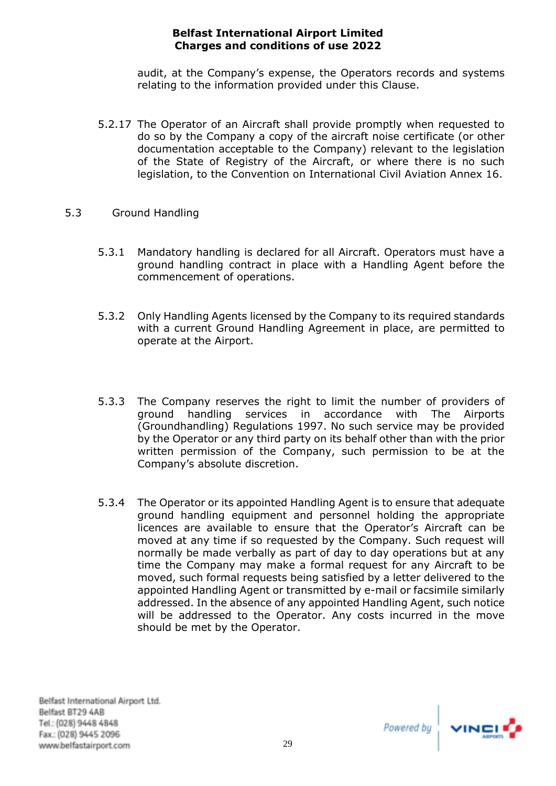audit, at the Company's expense, the Operators records and systems relating to the information provided under this Clause.

- 5.2.17 The Operator of an Aircraft shall provide promptly when requested to do so by the Company a copy of the aircraft noise certificate (or other documentation acceptable to the Company) relevant to the legislation of the State of Registry of the Aircraft, or where there is no such legislation, to the Convention on International Civil Aviation Annex 16.
- 5.3 Ground Handling
	- 5.3.1 Mandatory handling is declared for all Aircraft. Operators must have a ground handling contract in place with a Handling Agent before the commencement of operations.
	- 5.3.2 Only Handling Agents licensed by the Company to its required standards with a current Ground Handling Agreement in place, are permitted to operate at the Airport.
	- 5.3.3 The Company reserves the right to limit the number of providers of ground handling services in accordance with The Airports (Groundhandling) Regulations 1997. No such service may be provided by the Operator or any third party on its behalf other than with the prior written permission of the Company, such permission to be at the Company's absolute discretion.
	- 5.3.4 The Operator or its appointed Handling Agent is to ensure that adequate ground handling equipment and personnel holding the appropriate licences are available to ensure that the Operator's Aircraft can be moved at any time if so requested by the Company. Such request will normally be made verbally as part of day to day operations but at any time the Company may make a formal request for any Aircraft to be moved, such formal requests being satisfied by a letter delivered to the appointed Handling Agent or transmitted by e-mail or facsimile similarly addressed. In the absence of any appointed Handling Agent, such notice will be addressed to the Operator. Any costs incurred in the move should be met by the Operator.

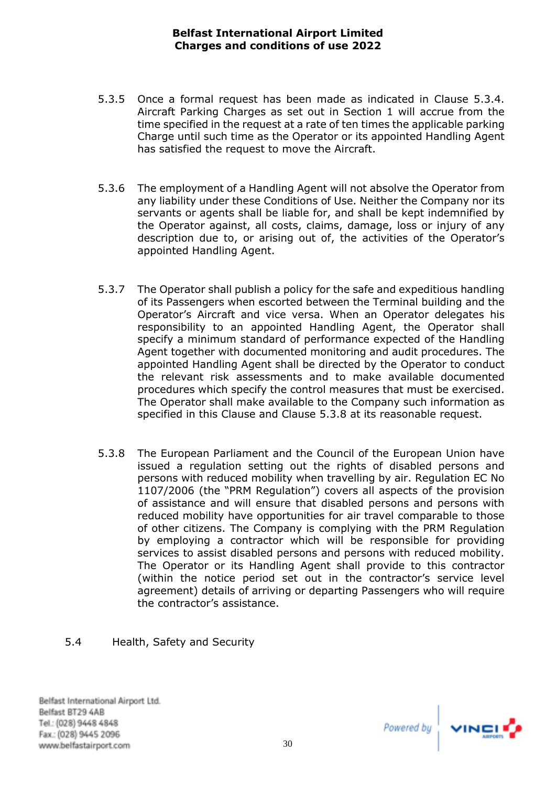- 5.3.5 Once a formal request has been made as indicated in Clause 5.3.4. Aircraft Parking Charges as set out in Section 1 will accrue from the time specified in the request at a rate of ten times the applicable parking Charge until such time as the Operator or its appointed Handling Agent has satisfied the request to move the Aircraft.
- 5.3.6 The employment of a Handling Agent will not absolve the Operator from any liability under these Conditions of Use. Neither the Company nor its servants or agents shall be liable for, and shall be kept indemnified by the Operator against, all costs, claims, damage, loss or injury of any description due to, or arising out of, the activities of the Operator's appointed Handling Agent.
- 5.3.7 The Operator shall publish a policy for the safe and expeditious handling of its Passengers when escorted between the Terminal building and the Operator's Aircraft and vice versa. When an Operator delegates his responsibility to an appointed Handling Agent, the Operator shall specify a minimum standard of performance expected of the Handling Agent together with documented monitoring and audit procedures. The appointed Handling Agent shall be directed by the Operator to conduct the relevant risk assessments and to make available documented procedures which specify the control measures that must be exercised. The Operator shall make available to the Company such information as specified in this Clause and Clause 5.3.8 at its reasonable request.
- 5.3.8 The European Parliament and the Council of the European Union have issued a regulation setting out the rights of disabled persons and persons with reduced mobility when travelling by air. Regulation EC No 1107/2006 (the "PRM Regulation") covers all aspects of the provision of assistance and will ensure that disabled persons and persons with reduced mobility have opportunities for air travel comparable to those of other citizens. The Company is complying with the PRM Regulation by employing a contractor which will be responsible for providing services to assist disabled persons and persons with reduced mobility. The Operator or its Handling Agent shall provide to this contractor (within the notice period set out in the contractor's service level agreement) details of arriving or departing Passengers who will require the contractor's assistance.

## 5.4 Health, Safety and Security

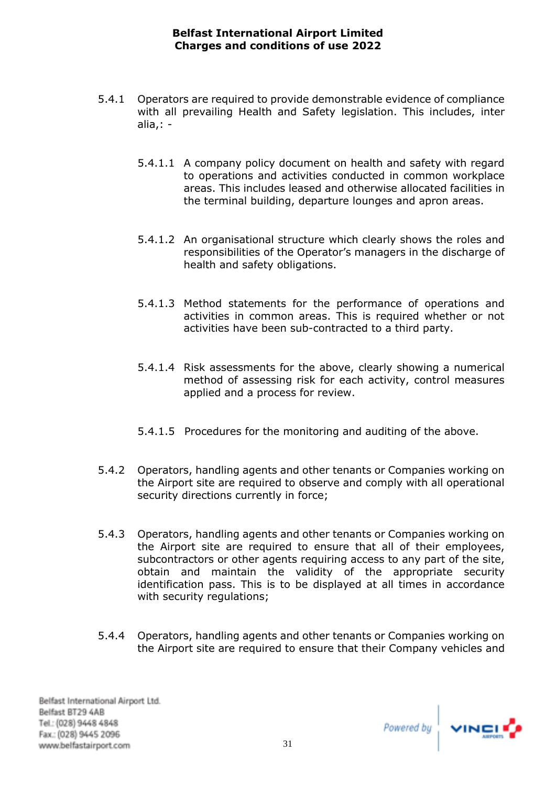- 5.4.1 Operators are required to provide demonstrable evidence of compliance with all prevailing Health and Safety legislation. This includes, inter alia,: -
	- 5.4.1.1 A company policy document on health and safety with regard to operations and activities conducted in common workplace areas. This includes leased and otherwise allocated facilities in the terminal building, departure lounges and apron areas.
	- 5.4.1.2 An organisational structure which clearly shows the roles and responsibilities of the Operator's managers in the discharge of health and safety obligations.
	- 5.4.1.3 Method statements for the performance of operations and activities in common areas. This is required whether or not activities have been sub-contracted to a third party.
	- 5.4.1.4 Risk assessments for the above, clearly showing a numerical method of assessing risk for each activity, control measures applied and a process for review.
	- 5.4.1.5 Procedures for the monitoring and auditing of the above.
- 5.4.2 Operators, handling agents and other tenants or Companies working on the Airport site are required to observe and comply with all operational security directions currently in force;
- 5.4.3 Operators, handling agents and other tenants or Companies working on the Airport site are required to ensure that all of their employees, subcontractors or other agents requiring access to any part of the site, obtain and maintain the validity of the appropriate security identification pass. This is to be displayed at all times in accordance with security regulations;
- 5.4.4 Operators, handling agents and other tenants or Companies working on the Airport site are required to ensure that their Company vehicles and

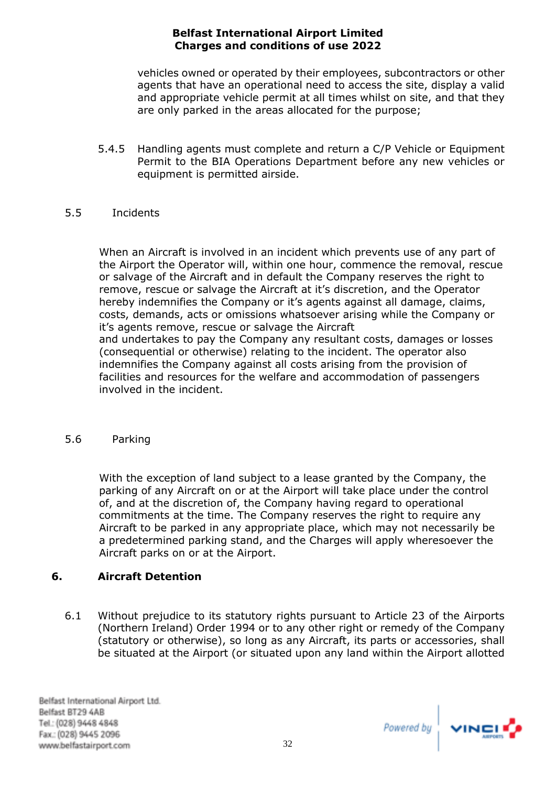vehicles owned or operated by their employees, subcontractors or other agents that have an operational need to access the site, display a valid and appropriate vehicle permit at all times whilst on site, and that they are only parked in the areas allocated for the purpose;

5.4.5 Handling agents must complete and return a C/P Vehicle or Equipment Permit to the BIA Operations Department before any new vehicles or equipment is permitted airside.

## 5.5 Incidents

When an Aircraft is involved in an incident which prevents use of any part of the Airport the Operator will, within one hour, commence the removal, rescue or salvage of the Aircraft and in default the Company reserves the right to remove, rescue or salvage the Aircraft at it's discretion, and the Operator hereby indemnifies the Company or it's agents against all damage, claims, costs, demands, acts or omissions whatsoever arising while the Company or it's agents remove, rescue or salvage the Aircraft and undertakes to pay the Company any resultant costs, damages or losses

(consequential or otherwise) relating to the incident. The operator also indemnifies the Company against all costs arising from the provision of facilities and resources for the welfare and accommodation of passengers involved in the incident.

## 5.6 Parking

With the exception of land subject to a lease granted by the Company, the parking of any Aircraft on or at the Airport will take place under the control of, and at the discretion of, the Company having regard to operational commitments at the time. The Company reserves the right to require any Aircraft to be parked in any appropriate place, which may not necessarily be a predetermined parking stand, and the Charges will apply wheresoever the Aircraft parks on or at the Airport.

# <span id="page-34-0"></span>**6. Aircraft Detention**

6.1 Without prejudice to its statutory rights pursuant to Article 23 of the Airports (Northern Ireland) Order 1994 or to any other right or remedy of the Company (statutory or otherwise), so long as any Aircraft, its parts or accessories, shall be situated at the Airport (or situated upon any land within the Airport allotted

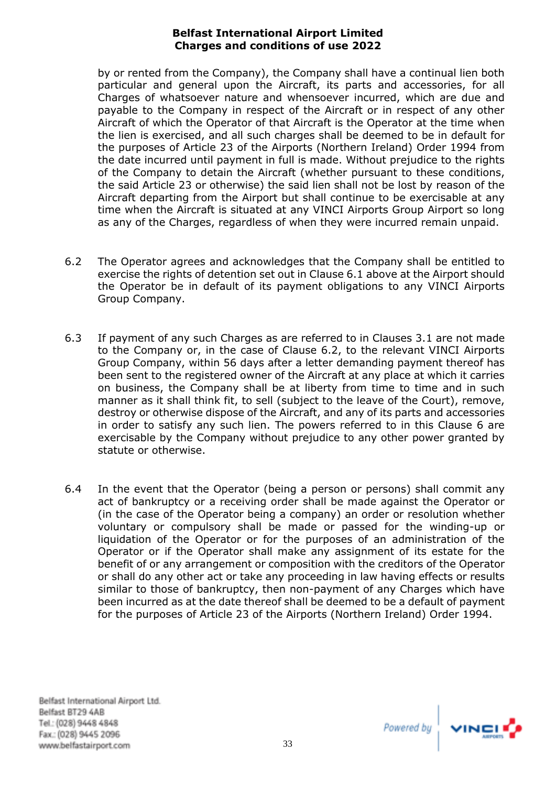by or rented from the Company), the Company shall have a continual lien both particular and general upon the Aircraft, its parts and accessories, for all Charges of whatsoever nature and whensoever incurred, which are due and payable to the Company in respect of the Aircraft or in respect of any other Aircraft of which the Operator of that Aircraft is the Operator at the time when the lien is exercised, and all such charges shall be deemed to be in default for the purposes of Article 23 of the Airports (Northern Ireland) Order 1994 from the date incurred until payment in full is made. Without prejudice to the rights of the Company to detain the Aircraft (whether pursuant to these conditions, the said Article 23 or otherwise) the said lien shall not be lost by reason of the Aircraft departing from the Airport but shall continue to be exercisable at any time when the Aircraft is situated at any VINCI Airports Group Airport so long as any of the Charges, regardless of when they were incurred remain unpaid.

- 6.2 The Operator agrees and acknowledges that the Company shall be entitled to exercise the rights of detention set out in Clause 6.1 above at the Airport should the Operator be in default of its payment obligations to any VINCI Airports Group Company.
- 6.3 If payment of any such Charges as are referred to in Clauses 3.1 are not made to the Company or, in the case of Clause 6.2, to the relevant VINCI Airports Group Company, within 56 days after a letter demanding payment thereof has been sent to the registered owner of the Aircraft at any place at which it carries on business, the Company shall be at liberty from time to time and in such manner as it shall think fit, to sell (subject to the leave of the Court), remove, destroy or otherwise dispose of the Aircraft, and any of its parts and accessories in order to satisfy any such lien. The powers referred to in this Clause 6 are exercisable by the Company without prejudice to any other power granted by statute or otherwise.
- 6.4 In the event that the Operator (being a person or persons) shall commit any act of bankruptcy or a receiving order shall be made against the Operator or (in the case of the Operator being a company) an order or resolution whether voluntary or compulsory shall be made or passed for the winding-up or liquidation of the Operator or for the purposes of an administration of the Operator or if the Operator shall make any assignment of its estate for the benefit of or any arrangement or composition with the creditors of the Operator or shall do any other act or take any proceeding in law having effects or results similar to those of bankruptcy, then non-payment of any Charges which have been incurred as at the date thereof shall be deemed to be a default of payment for the purposes of Article 23 of the Airports (Northern Ireland) Order 1994.

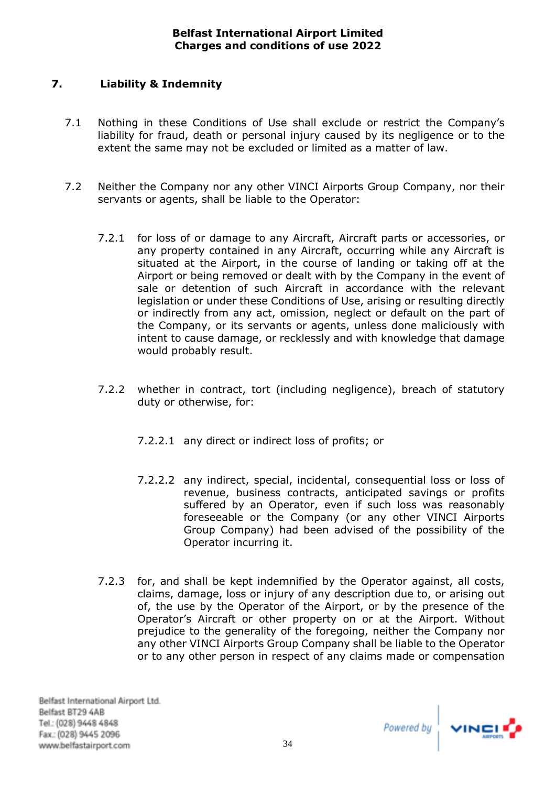# <span id="page-36-0"></span>**7. Liability & Indemnity**

- 7.1 Nothing in these Conditions of Use shall exclude or restrict the Company's liability for fraud, death or personal injury caused by its negligence or to the extent the same may not be excluded or limited as a matter of law.
- 7.2 Neither the Company nor any other VINCI Airports Group Company, nor their servants or agents, shall be liable to the Operator:
	- 7.2.1 for loss of or damage to any Aircraft, Aircraft parts or accessories, or any property contained in any Aircraft, occurring while any Aircraft is situated at the Airport, in the course of landing or taking off at the Airport or being removed or dealt with by the Company in the event of sale or detention of such Aircraft in accordance with the relevant legislation or under these Conditions of Use, arising or resulting directly or indirectly from any act, omission, neglect or default on the part of the Company, or its servants or agents, unless done maliciously with intent to cause damage, or recklessly and with knowledge that damage would probably result.
	- 7.2.2 whether in contract, tort (including negligence), breach of statutory duty or otherwise, for:
		- 7.2.2.1 any direct or indirect loss of profits; or
		- 7.2.2.2 any indirect, special, incidental, consequential loss or loss of revenue, business contracts, anticipated savings or profits suffered by an Operator, even if such loss was reasonably foreseeable or the Company (or any other VINCI Airports Group Company) had been advised of the possibility of the Operator incurring it.
	- 7.2.3 for, and shall be kept indemnified by the Operator against, all costs, claims, damage, loss or injury of any description due to, or arising out of, the use by the Operator of the Airport, or by the presence of the Operator's Aircraft or other property on or at the Airport. Without prejudice to the generality of the foregoing, neither the Company nor any other VINCI Airports Group Company shall be liable to the Operator or to any other person in respect of any claims made or compensation

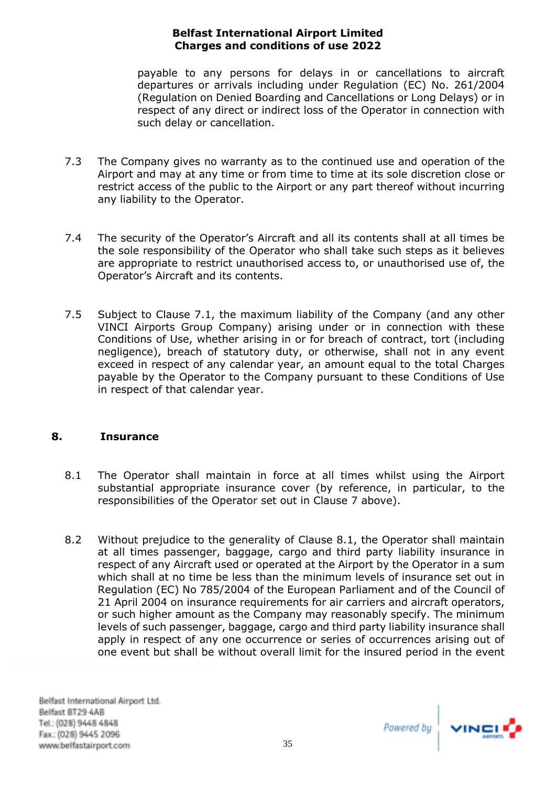payable to any persons for delays in or cancellations to aircraft departures or arrivals including under Regulation (EC) No. 261/2004 (Regulation on Denied Boarding and Cancellations or Long Delays) or in respect of any direct or indirect loss of the Operator in connection with such delay or cancellation.

- 7.3 The Company gives no warranty as to the continued use and operation of the Airport and may at any time or from time to time at its sole discretion close or restrict access of the public to the Airport or any part thereof without incurring any liability to the Operator.
- 7.4 The security of the Operator's Aircraft and all its contents shall at all times be the sole responsibility of the Operator who shall take such steps as it believes are appropriate to restrict unauthorised access to, or unauthorised use of, the Operator's Aircraft and its contents.
- 7.5 Subject to Clause 7.1, the maximum liability of the Company (and any other VINCI Airports Group Company) arising under or in connection with these Conditions of Use, whether arising in or for breach of contract, tort (including negligence), breach of statutory duty, or otherwise, shall not in any event exceed in respect of any calendar year, an amount equal to the total Charges payable by the Operator to the Company pursuant to these Conditions of Use in respect of that calendar year.

## <span id="page-37-0"></span>**8. Insurance**

- 8.1 The Operator shall maintain in force at all times whilst using the Airport substantial appropriate insurance cover (by reference, in particular, to the responsibilities of the Operator set out in Clause 7 above).
- 8.2 Without prejudice to the generality of Clause 8.1, the Operator shall maintain at all times passenger, baggage, cargo and third party liability insurance in respect of any Aircraft used or operated at the Airport by the Operator in a sum which shall at no time be less than the minimum levels of insurance set out in Regulation (EC) No 785/2004 of the European Parliament and of the Council of 21 April 2004 on insurance requirements for air carriers and aircraft operators, or such higher amount as the Company may reasonably specify. The minimum levels of such passenger, baggage, cargo and third party liability insurance shall apply in respect of any one occurrence or series of occurrences arising out of one event but shall be without overall limit for the insured period in the event

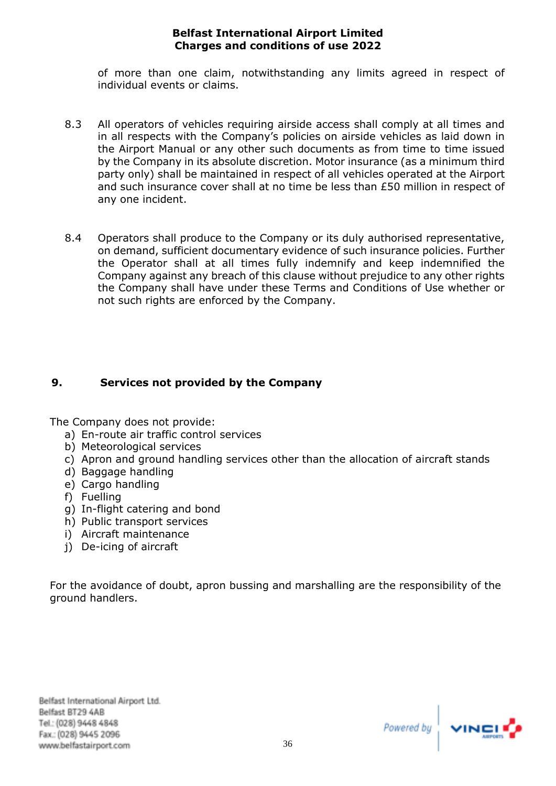of more than one claim, notwithstanding any limits agreed in respect of individual events or claims.

- 8.3 All operators of vehicles requiring airside access shall comply at all times and in all respects with the Company's policies on airside vehicles as laid down in the Airport Manual or any other such documents as from time to time issued by the Company in its absolute discretion. Motor insurance (as a minimum third party only) shall be maintained in respect of all vehicles operated at the Airport and such insurance cover shall at no time be less than £50 million in respect of any one incident.
- 8.4 Operators shall produce to the Company or its duly authorised representative, on demand, sufficient documentary evidence of such insurance policies. Further the Operator shall at all times fully indemnify and keep indemnified the Company against any breach of this clause without prejudice to any other rights the Company shall have under these Terms and Conditions of Use whether or not such rights are enforced by the Company.

# <span id="page-38-0"></span>**9. Services not provided by the Company**

The Company does not provide:

- a) En-route air traffic control services
- b) Meteorological services
- c) Apron and ground handling services other than the allocation of aircraft stands
- d) Baggage handling
- e) Cargo handling
- f) Fuelling
- g) In-flight catering and bond
- h) Public transport services
- i) Aircraft maintenance
- j) De-icing of aircraft

For the avoidance of doubt, apron bussing and marshalling are the responsibility of the ground handlers.

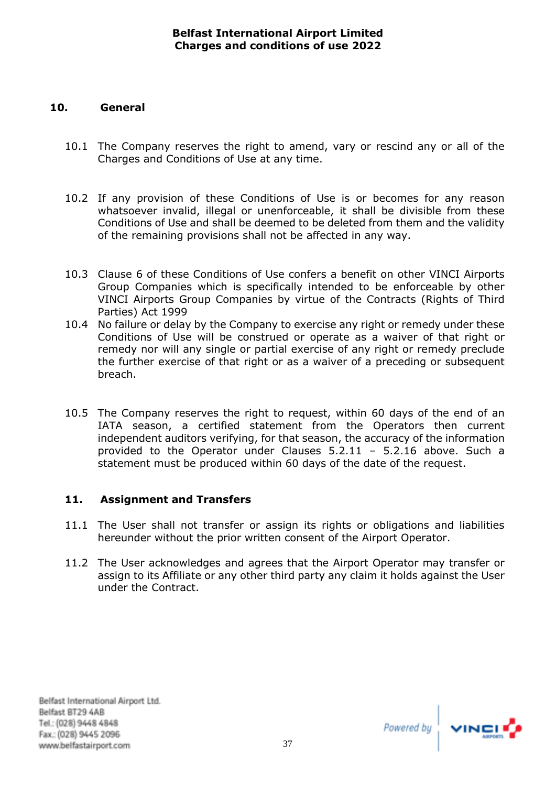# <span id="page-39-0"></span>**10. General**

- 10.1 The Company reserves the right to amend, vary or rescind any or all of the Charges and Conditions of Use at any time.
- 10.2 If any provision of these Conditions of Use is or becomes for any reason whatsoever invalid, illegal or unenforceable, it shall be divisible from these Conditions of Use and shall be deemed to be deleted from them and the validity of the remaining provisions shall not be affected in any way.
- 10.3 Clause 6 of these Conditions of Use confers a benefit on other VINCI Airports Group Companies which is specifically intended to be enforceable by other VINCI Airports Group Companies by virtue of the Contracts (Rights of Third Parties) Act 1999
- 10.4 No failure or delay by the Company to exercise any right or remedy under these Conditions of Use will be construed or operate as a waiver of that right or remedy nor will any single or partial exercise of any right or remedy preclude the further exercise of that right or as a waiver of a preceding or subsequent breach.
- 10.5 The Company reserves the right to request, within 60 days of the end of an IATA season, a certified statement from the Operators then current independent auditors verifying, for that season, the accuracy of the information provided to the Operator under Clauses 5.2.11 – 5.2.16 above. Such a statement must be produced within 60 days of the date of the request.

## <span id="page-39-1"></span>**11. Assignment and Transfers**

- 11.1 The User shall not transfer or assign its rights or obligations and liabilities hereunder without the prior written consent of the Airport Operator.
- 11.2 The User acknowledges and agrees that the Airport Operator may transfer or assign to its Affiliate or any other third party any claim it holds against the User under the Contract.

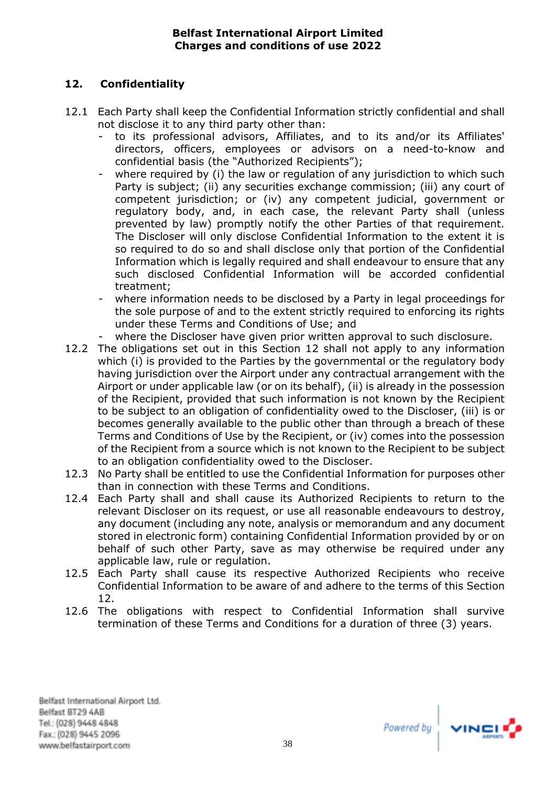# <span id="page-40-0"></span>**12. Confidentiality**

- 12.1 Each Party shall keep the Confidential Information strictly confidential and shall not disclose it to any third party other than:
	- to its professional advisors, Affiliates, and to its and/or its Affiliates' directors, officers, employees or advisors on a need-to-know and confidential basis (the "Authorized Recipients");
	- where required by (i) the law or regulation of any jurisdiction to which such Party is subject; (ii) any securities exchange commission; (iii) any court of competent jurisdiction; or (iv) any competent judicial, government or regulatory body, and, in each case, the relevant Party shall (unless prevented by law) promptly notify the other Parties of that requirement. The Discloser will only disclose Confidential Information to the extent it is so required to do so and shall disclose only that portion of the Confidential Information which is legally required and shall endeavour to ensure that any such disclosed Confidential Information will be accorded confidential treatment;
	- where information needs to be disclosed by a Party in legal proceedings for the sole purpose of and to the extent strictly required to enforcing its rights under these Terms and Conditions of Use; and
	- where the Discloser have given prior written approval to such disclosure.
- 12.2 The obligations set out in this Section 12 shall not apply to any information which (i) is provided to the Parties by the governmental or the regulatory body having jurisdiction over the Airport under any contractual arrangement with the Airport or under applicable law (or on its behalf), (ii) is already in the possession of the Recipient, provided that such information is not known by the Recipient to be subject to an obligation of confidentiality owed to the Discloser, (iii) is or becomes generally available to the public other than through a breach of these Terms and Conditions of Use by the Recipient, or (iv) comes into the possession of the Recipient from a source which is not known to the Recipient to be subject to an obligation confidentiality owed to the Discloser.
- 12.3 No Party shall be entitled to use the Confidential Information for purposes other than in connection with these Terms and Conditions.
- 12.4 Each Party shall and shall cause its Authorized Recipients to return to the relevant Discloser on its request, or use all reasonable endeavours to destroy, any document (including any note, analysis or memorandum and any document stored in electronic form) containing Confidential Information provided by or on behalf of such other Party, save as may otherwise be required under any applicable law, rule or regulation.
- 12.5 Each Party shall cause its respective Authorized Recipients who receive Confidential Information to be aware of and adhere to the terms of this Section 12.
- 12.6 The obligations with respect to Confidential Information shall survive termination of these Terms and Conditions for a duration of three (3) years.